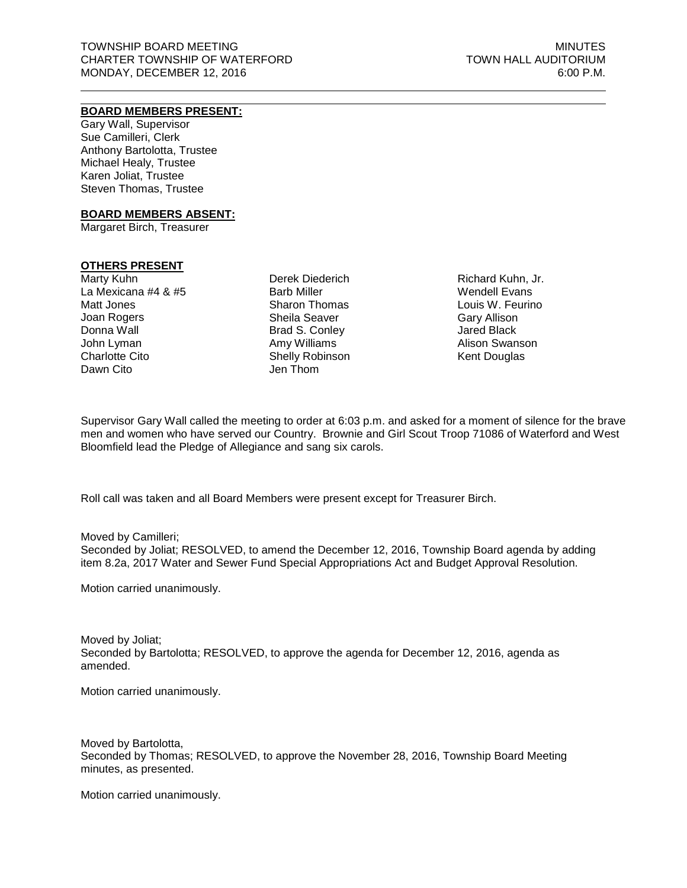# **BOARD MEMBERS PRESENT:**

Gary Wall, Supervisor Sue Camilleri, Clerk Anthony Bartolotta, Trustee Michael Healy, Trustee Karen Joliat, Trustee Steven Thomas, Trustee

#### **BOARD MEMBERS ABSENT:**

Margaret Birch, Treasurer

## **OTHERS PRESENT**

Marty Kuhn La Mexicana #4 & #5 Matt Jones Joan Rogers Donna Wall John Lyman Charlotte Cito Dawn Cito

Derek Diederich Barb Miller Sharon Thomas Sheila Seaver Brad S. Conley Amy Williams Shelly Robinson Jen Thom

Richard Kuhn, Jr. Wendell Evans Louis W. Feurino Gary Allison Jared Black Alison Swanson Kent Douglas

Supervisor Gary Wall called the meeting to order at 6:03 p.m. and asked for a moment of silence for the brave men and women who have served our Country. Brownie and Girl Scout Troop 71086 of Waterford and West Bloomfield lead the Pledge of Allegiance and sang six carols.

Roll call was taken and all Board Members were present except for Treasurer Birch.

Moved by Camilleri; Seconded by Joliat; RESOLVED, to amend the December 12, 2016, Township Board agenda by adding item 8.2a, 2017 Water and Sewer Fund Special Appropriations Act and Budget Approval Resolution.

Motion carried unanimously.

Moved by Joliat; Seconded by Bartolotta; RESOLVED, to approve the agenda for December 12, 2016, agenda as amended.

Motion carried unanimously.

Moved by Bartolotta, Seconded by Thomas; RESOLVED, to approve the November 28, 2016, Township Board Meeting minutes, as presented.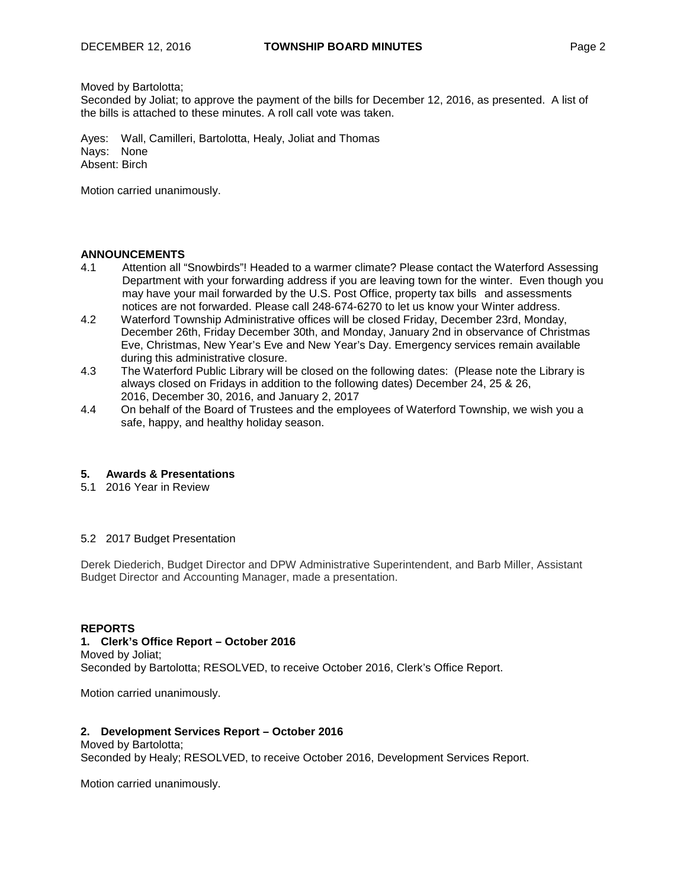## Moved by Bartolotta;

Seconded by Joliat; to approve the payment of the bills for December 12, 2016, as presented. A list of the bills is attached to these minutes. A roll call vote was taken.

Ayes: Wall, Camilleri, Bartolotta, Healy, Joliat and Thomas Nays: None Absent: Birch

Motion carried unanimously.

# **ANNOUNCEMENTS**<br>4.1 **Attention all**

- Attention all "Snowbirds"! Headed to a warmer climate? Please contact the Waterford Assessing Department with your forwarding address if you are leaving town for the winter. Even though you may have your mail forwarded by the U.S. Post Office, property tax bills and assessments notices are not forwarded. Please call 248-674-6270 to let us know your Winter address.
- 4.2 Waterford Township Administrative offices will be closed Friday, December 23rd, Monday, December 26th, Friday December 30th, and Monday, January 2nd in observance of Christmas Eve, Christmas, New Year's Eve and New Year's Day. Emergency services remain available during this administrative closure.
- 4.3 The Waterford Public Library will be closed on the following dates: (Please note the Library is always closed on Fridays in addition to the following dates) December 24, 25 & 26, 2016, December 30, 2016, and January 2, 2017
- 4.4 On behalf of the Board of Trustees and the employees of Waterford Township, we wish you a safe, happy, and healthy holiday season.

## **5. Awards & Presentations**

5.1 2016 Year in Review

#### 5.2 2017 Budget Presentation

Derek Diederich, Budget Director and DPW Administrative Superintendent, and Barb Miller, Assistant Budget Director and Accounting Manager, made a presentation.

# **REPORTS**

## **1. Clerk's Office Report – October 2016**

Moved by Joliat; Seconded by Bartolotta; RESOLVED, to receive October 2016, Clerk's Office Report.

Motion carried unanimously.

#### **2. Development Services Report – October 2016**

Moved by Bartolotta; Seconded by Healy; RESOLVED, to receive October 2016, Development Services Report.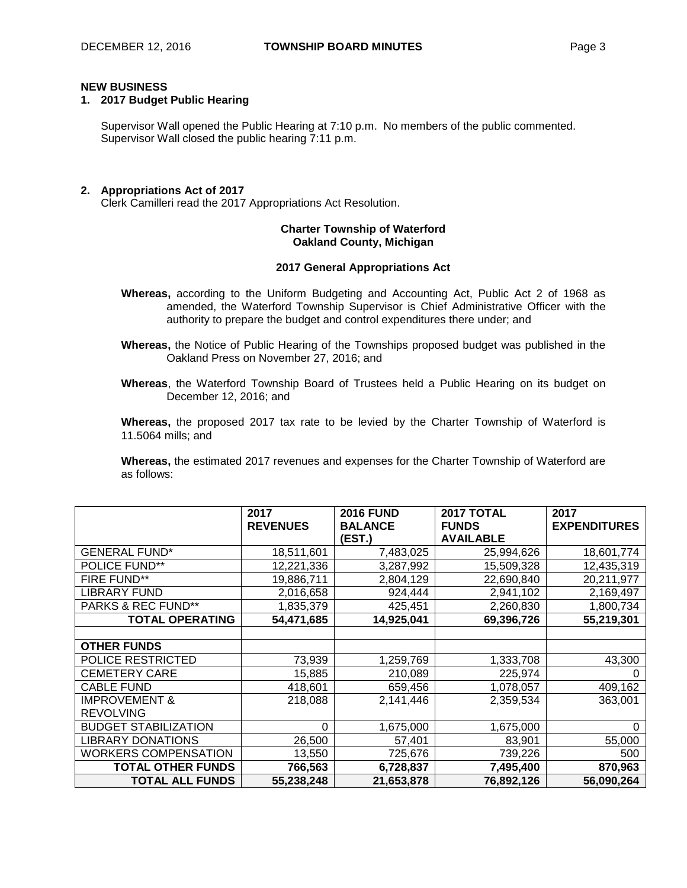# **NEW BUSINESS**

## **1. 2017 Budget Public Hearing**

Supervisor Wall opened the Public Hearing at 7:10 p.m. No members of the public commented. Supervisor Wall closed the public hearing 7:11 p.m.

## **2. Appropriations Act of 2017**

Clerk Camilleri read the 2017 Appropriations Act Resolution.

## **Charter Township of Waterford Oakland County, Michigan**

## **2017 General Appropriations Act**

**Whereas,** according to the Uniform Budgeting and Accounting Act, Public Act 2 of 1968 as amended, the Waterford Township Supervisor is Chief Administrative Officer with the authority to prepare the budget and control expenditures there under; and

**Whereas,** the Notice of Public Hearing of the Townships proposed budget was published in the Oakland Press on November 27, 2016; and

**Whereas**, the Waterford Township Board of Trustees held a Public Hearing on its budget on December 12, 2016; and

**Whereas,** the proposed 2017 tax rate to be levied by the Charter Township of Waterford is 11.5064 mills; and

**Whereas,** the estimated 2017 revenues and expenses for the Charter Township of Waterford are as follows:

|                             | 2017            | <b>2016 FUND</b> | 2017 TOTAL       | 2017                |
|-----------------------------|-----------------|------------------|------------------|---------------------|
|                             | <b>REVENUES</b> | <b>BALANCE</b>   | <b>FUNDS</b>     | <b>EXPENDITURES</b> |
|                             |                 | (EST.)           | <b>AVAILABLE</b> |                     |
| <b>GENERAL FUND*</b>        | 18,511,601      | 7,483,025        | 25,994,626       | 18,601,774          |
| <b>POLICE FUND**</b>        | 12,221,336      | 3,287,992        | 15,509,328       | 12,435,319          |
| <b>FIRE FUND**</b>          | 19,886,711      | 2,804,129        | 22,690,840       | 20,211,977          |
| <b>LIBRARY FUND</b>         | 2,016,658       | 924,444          | 2,941,102        | 2,169,497           |
| PARKS & REC FUND**          | 1,835,379       | 425,451          | 2,260,830        | 1,800,734           |
| <b>TOTAL OPERATING</b>      | 54,471,685      | 14,925,041       | 69,396,726       | 55,219,301          |
|                             |                 |                  |                  |                     |
| <b>OTHER FUNDS</b>          |                 |                  |                  |                     |
| POLICE RESTRICTED           | 73,939          | 1,259,769        | 1,333,708        | 43,300              |
| <b>CEMETERY CARE</b>        | 15,885          | 210,089          | 225,974          | 0                   |
| <b>CABLE FUND</b>           | 418,601         | 659,456          | 1,078,057        | 409,162             |
| <b>IMPROVEMENT &amp;</b>    | 218,088         | 2,141,446        | 2,359,534        | 363,001             |
| <b>REVOLVING</b>            |                 |                  |                  |                     |
| <b>BUDGET STABILIZATION</b> | $\Omega$        | 1,675,000        | 1,675,000        | 0                   |
| <b>LIBRARY DONATIONS</b>    | 26,500          | 57,401           | 83,901           | 55,000              |
| WORKERS COMPENSATION        | 13,550          | 725,676          | 739,226          | 500                 |
| <b>TOTAL OTHER FUNDS</b>    | 766,563         | 6,728,837        | 7,495,400        | 870,963             |
| <b>TOTAL ALL FUNDS</b>      | 55,238,248      | 21,653,878       | 76,892,126       | 56,090,264          |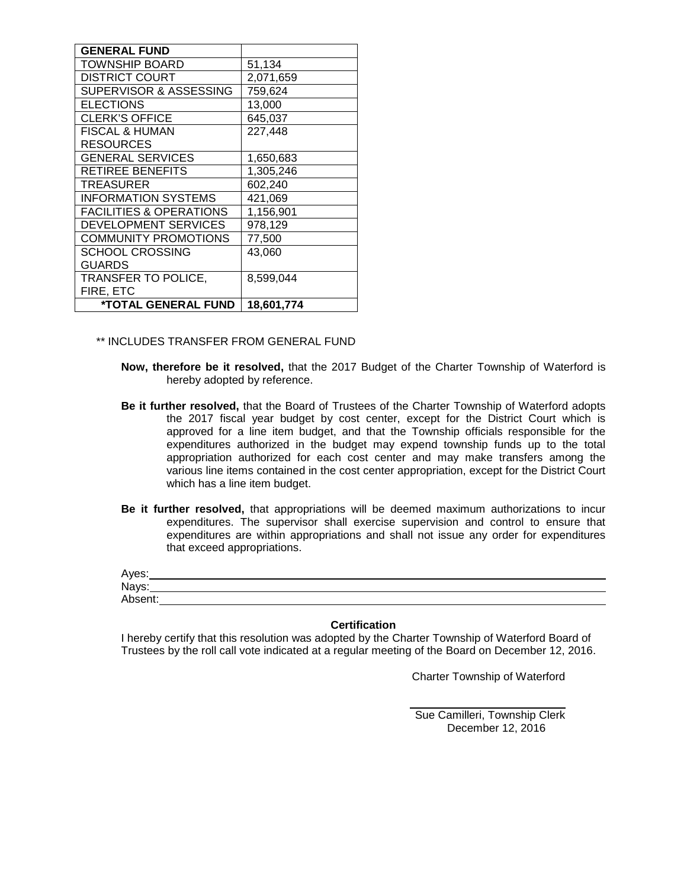| <b>GENERAL FUND</b>                |            |
|------------------------------------|------------|
| TOWNSHIP BOARD                     | 51,134     |
| <b>DISTRICT COURT</b>              | 2,071,659  |
| SUPERVISOR & ASSESSING             | 759,624    |
| <b>ELECTIONS</b>                   | 13,000     |
| <b>CLERK'S OFFICE</b>              | 645,037    |
| <b>FISCAL &amp; HUMAN</b>          | 227,448    |
| <b>RESOURCES</b>                   |            |
| <b>GENERAL SERVICES</b>            | 1,650,683  |
| <b>RETIREE BENEFITS</b>            | 1,305,246  |
| TREASURER                          | 602,240    |
| <b>INFORMATION SYSTEMS</b>         | 421,069    |
| <b>FACILITIES &amp; OPERATIONS</b> | 1,156,901  |
| DEVELOPMENT SERVICES               | 978,129    |
| <b>COMMUNITY PROMOTIONS</b>        | 77,500     |
| <b>SCHOOL CROSSING</b>             | 43,060     |
| GUARDS                             |            |
| TRANSFER TO POLICE,                | 8,599,044  |
| FIRE, ETC                          |            |
| *TOTAL GENERAL FUND                | 18,601,774 |

\*\* INCLUDES TRANSFER FROM GENERAL FUND

- **Now, therefore be it resolved,** that the 2017 Budget of the Charter Township of Waterford is hereby adopted by reference.
- **Be it further resolved,** that the Board of Trustees of the Charter Township of Waterford adopts the 2017 fiscal year budget by cost center, except for the District Court which is approved for a line item budget, and that the Township officials responsible for the expenditures authorized in the budget may expend township funds up to the total appropriation authorized for each cost center and may make transfers among the various line items contained in the cost center appropriation, except for the District Court which has a line item budget.
- **Be it further resolved,** that appropriations will be deemed maximum authorizations to incur expenditures. The supervisor shall exercise supervision and control to ensure that expenditures are within appropriations and shall not issue any order for expenditures that exceed appropriations.

| Ayes:   |  |  |
|---------|--|--|
| Nays:   |  |  |
| Absent: |  |  |

## **Certification**

I hereby certify that this resolution was adopted by the Charter Township of Waterford Board of Trustees by the roll call vote indicated at a regular meeting of the Board on December 12, 2016.

Charter Township of Waterford

Sue Camilleri, Township Clerk December 12, 2016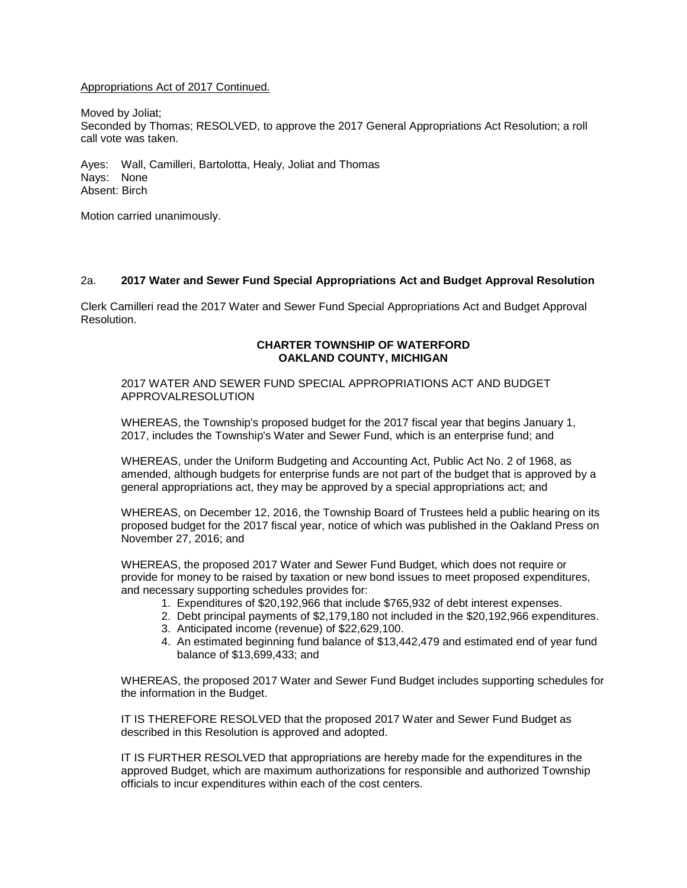## Appropriations Act of 2017 Continued.

Moved by Joliat;

Seconded by Thomas; RESOLVED, to approve the 2017 General Appropriations Act Resolution; a roll call vote was taken.

Ayes: Wall, Camilleri, Bartolotta, Healy, Joliat and Thomas Nays: None Absent: Birch

Motion carried unanimously.

## 2a. **2017 Water and Sewer Fund Special Appropriations Act and Budget Approval Resolution**

Clerk Camilleri read the 2017 Water and Sewer Fund Special Appropriations Act and Budget Approval Resolution.

## **CHARTER TOWNSHIP OF WATERFORD OAKLAND COUNTY, MICHIGAN**

2017 WATER AND SEWER FUND SPECIAL APPROPRIATIONS ACT AND BUDGET APPROVALRESOLUTION

WHEREAS, the Township's proposed budget for the 2017 fiscal year that begins January 1, 2017, includes the Township's Water and Sewer Fund, which is an enterprise fund; and

WHEREAS, under the Uniform Budgeting and Accounting Act, Public Act No. 2 of 1968, as amended, although budgets for enterprise funds are not part of the budget that is approved by a general appropriations act, they may be approved by a special appropriations act; and

WHEREAS, on December 12, 2016, the Township Board of Trustees held a public hearing on its proposed budget for the 2017 fiscal year, notice of which was published in the Oakland Press on November 27, 2016; and

WHEREAS, the proposed 2017 Water and Sewer Fund Budget, which does not require or provide for money to be raised by taxation or new bond issues to meet proposed expenditures, and necessary supporting schedules provides for:

- 1. Expenditures of \$20,192,966 that include \$765,932 of debt interest expenses.
- 2. Debt principal payments of \$2,179,180 not included in the \$20,192,966 expenditures.
- 3. Anticipated income (revenue) of \$22,629,100.
- 4. An estimated beginning fund balance of \$13,442,479 and estimated end of year fund balance of \$13,699,433; and

WHEREAS, the proposed 2017 Water and Sewer Fund Budget includes supporting schedules for the information in the Budget.

IT IS THEREFORE RESOLVED that the proposed 2017 Water and Sewer Fund Budget as described in this Resolution is approved and adopted.

IT IS FURTHER RESOLVED that appropriations are hereby made for the expenditures in the approved Budget, which are maximum authorizations for responsible and authorized Township officials to incur expenditures within each of the cost centers.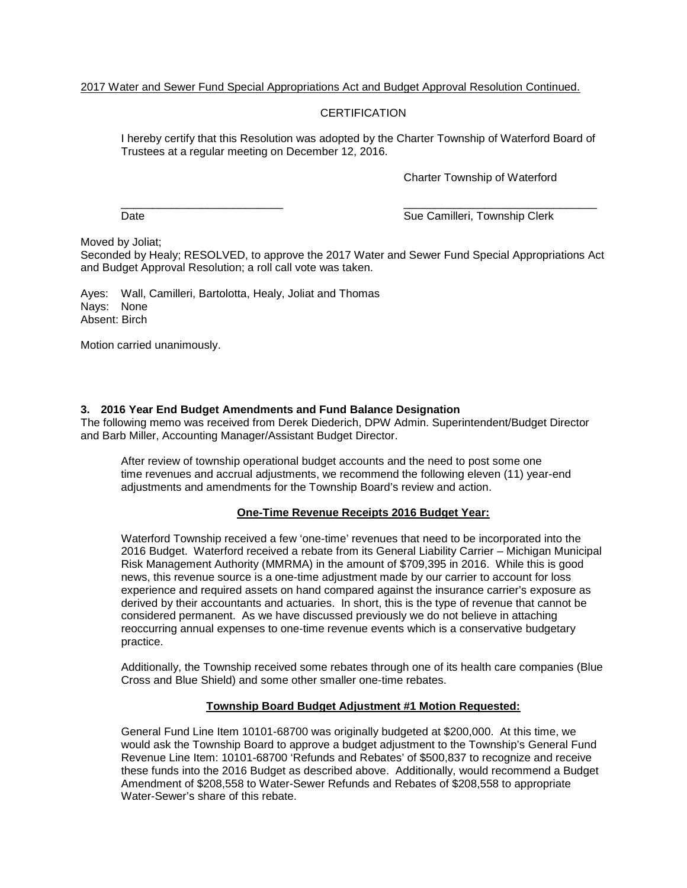# 2017 Water and Sewer Fund Special Appropriations Act and Budget Approval Resolution Continued.

# **CERTIFICATION**

I hereby certify that this Resolution was adopted by the Charter Township of Waterford Board of Trustees at a regular meeting on December 12, 2016.

Charter Township of Waterford

\_\_\_\_\_\_\_\_\_\_\_\_\_\_\_\_\_\_\_\_\_\_\_\_\_\_ \_\_\_\_\_\_\_\_\_\_\_\_\_\_\_\_\_\_\_\_\_\_\_\_\_\_\_\_\_\_\_ Date **Sue Camilleri, Township Clerk** Sue Camilleri, Township Clerk

Moved by Joliat;

Seconded by Healy; RESOLVED, to approve the 2017 Water and Sewer Fund Special Appropriations Act and Budget Approval Resolution; a roll call vote was taken.

Ayes: Wall, Camilleri, Bartolotta, Healy, Joliat and Thomas Nays: None Absent: Birch

Motion carried unanimously.

# **3. 2016 Year End Budget Amendments and Fund Balance Designation**

The following memo was received from Derek Diederich, DPW Admin. Superintendent/Budget Director and Barb Miller, Accounting Manager/Assistant Budget Director.

After review of township operational budget accounts and the need to post some one time revenues and accrual adjustments, we recommend the following eleven (11) year-end adjustments and amendments for the Township Board's review and action.

## **One-Time Revenue Receipts 2016 Budget Year:**

Waterford Township received a few 'one-time' revenues that need to be incorporated into the 2016 Budget. Waterford received a rebate from its General Liability Carrier – Michigan Municipal Risk Management Authority (MMRMA) in the amount of \$709,395 in 2016. While this is good news, this revenue source is a one-time adjustment made by our carrier to account for loss experience and required assets on hand compared against the insurance carrier's exposure as derived by their accountants and actuaries. In short, this is the type of revenue that cannot be considered permanent. As we have discussed previously we do not believe in attaching reoccurring annual expenses to one-time revenue events which is a conservative budgetary practice.

Additionally, the Township received some rebates through one of its health care companies (Blue Cross and Blue Shield) and some other smaller one-time rebates.

## **Township Board Budget Adjustment #1 Motion Requested:**

General Fund Line Item 10101-68700 was originally budgeted at \$200,000. At this time, we would ask the Township Board to approve a budget adjustment to the Township's General Fund Revenue Line Item: 10101-68700 'Refunds and Rebates' of \$500,837 to recognize and receive these funds into the 2016 Budget as described above. Additionally, would recommend a Budget Amendment of \$208,558 to Water-Sewer Refunds and Rebates of \$208,558 to appropriate Water-Sewer's share of this rebate.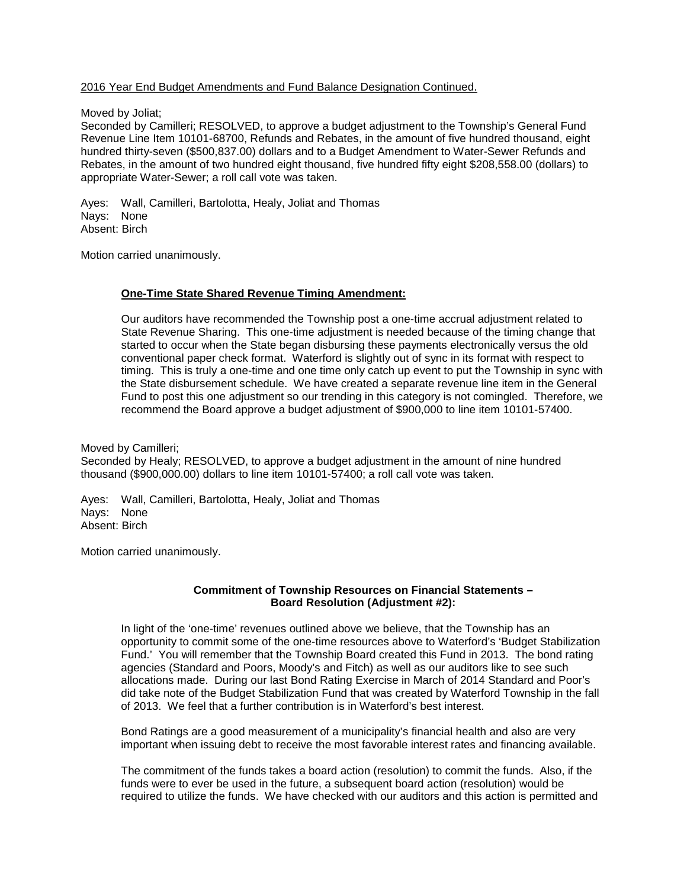Moved by Joliat;

Seconded by Camilleri; RESOLVED, to approve a budget adjustment to the Township's General Fund Revenue Line Item 10101-68700, Refunds and Rebates, in the amount of five hundred thousand, eight hundred thirty-seven (\$500,837.00) dollars and to a Budget Amendment to Water-Sewer Refunds and Rebates, in the amount of two hundred eight thousand, five hundred fifty eight \$208,558.00 (dollars) to appropriate Water-Sewer; a roll call vote was taken.

Ayes: Wall, Camilleri, Bartolotta, Healy, Joliat and Thomas Nays: None Absent: Birch

Motion carried unanimously.

# **One-Time State Shared Revenue Timing Amendment:**

Our auditors have recommended the Township post a one-time accrual adjustment related to State Revenue Sharing. This one-time adjustment is needed because of the timing change that started to occur when the State began disbursing these payments electronically versus the old conventional paper check format. Waterford is slightly out of sync in its format with respect to timing. This is truly a one-time and one time only catch up event to put the Township in sync with the State disbursement schedule. We have created a separate revenue line item in the General Fund to post this one adjustment so our trending in this category is not comingled. Therefore, we recommend the Board approve a budget adjustment of \$900,000 to line item 10101-57400.

Moved by Camilleri; Seconded by Healy; RESOLVED, to approve a budget adjustment in the amount of nine hundred thousand (\$900,000.00) dollars to line item 10101-57400; a roll call vote was taken.

Ayes: Wall, Camilleri, Bartolotta, Healy, Joliat and Thomas Nays: None Absent: Birch

Motion carried unanimously.

## **Commitment of Township Resources on Financial Statements – Board Resolution (Adjustment #2):**

In light of the 'one-time' revenues outlined above we believe, that the Township has an opportunity to commit some of the one-time resources above to Waterford's 'Budget Stabilization Fund.' You will remember that the Township Board created this Fund in 2013. The bond rating agencies (Standard and Poors, Moody's and Fitch) as well as our auditors like to see such allocations made. During our last Bond Rating Exercise in March of 2014 Standard and Poor's did take note of the Budget Stabilization Fund that was created by Waterford Township in the fall of 2013. We feel that a further contribution is in Waterford's best interest.

Bond Ratings are a good measurement of a municipality's financial health and also are very important when issuing debt to receive the most favorable interest rates and financing available.

The commitment of the funds takes a board action (resolution) to commit the funds. Also, if the funds were to ever be used in the future, a subsequent board action (resolution) would be required to utilize the funds. We have checked with our auditors and this action is permitted and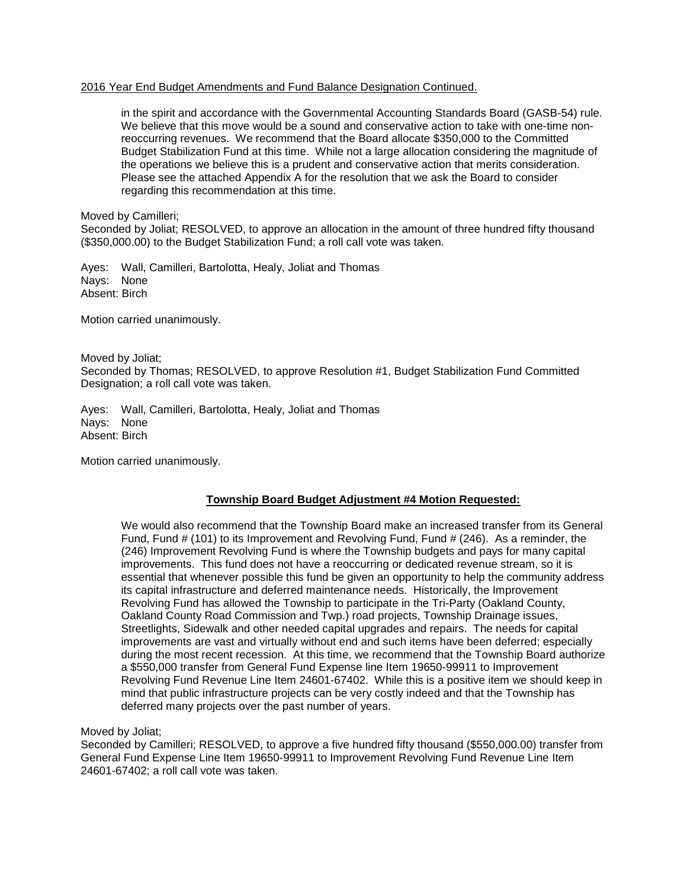in the spirit and accordance with the Governmental Accounting Standards Board (GASB-54) rule. We believe that this move would be a sound and conservative action to take with one-time nonreoccurring revenues. We recommend that the Board allocate \$350,000 to the Committed Budget Stabilization Fund at this time. While not a large allocation considering the magnitude of the operations we believe this is a prudent and conservative action that merits consideration. Please see the attached Appendix A for the resolution that we ask the Board to consider regarding this recommendation at this time.

Moved by Camilleri;

Seconded by Joliat; RESOLVED, to approve an allocation in the amount of three hundred fifty thousand (\$350,000.00) to the Budget Stabilization Fund; a roll call vote was taken.

Ayes: Wall, Camilleri, Bartolotta, Healy, Joliat and Thomas Nays: None Absent: Birch

Motion carried unanimously.

Moved by Joliat; Seconded by Thomas; RESOLVED, to approve Resolution #1, Budget Stabilization Fund Committed Designation; a roll call vote was taken.

Ayes: Wall, Camilleri, Bartolotta, Healy, Joliat and Thomas Nays: None Absent: Birch

Motion carried unanimously.

## **Township Board Budget Adjustment #4 Motion Requested:**

We would also recommend that the Township Board make an increased transfer from its General Fund, Fund # (101) to its Improvement and Revolving Fund, Fund # (246). As a reminder, the (246) Improvement Revolving Fund is where the Township budgets and pays for many capital improvements. This fund does not have a reoccurring or dedicated revenue stream, so it is essential that whenever possible this fund be given an opportunity to help the community address its capital infrastructure and deferred maintenance needs. Historically, the Improvement Revolving Fund has allowed the Township to participate in the Tri-Party (Oakland County, Oakland County Road Commission and Twp.) road projects, Township Drainage issues, Streetlights, Sidewalk and other needed capital upgrades and repairs. The needs for capital improvements are vast and virtually without end and such items have been deferred; especially during the most recent recession. At this time, we recommend that the Township Board authorize a \$550,000 transfer from General Fund Expense line Item 19650-99911 to Improvement Revolving Fund Revenue Line Item 24601-67402. While this is a positive item we should keep in mind that public infrastructure projects can be very costly indeed and that the Township has deferred many projects over the past number of years.

Moved by Joliat;

Seconded by Camilleri; RESOLVED, to approve a five hundred fifty thousand (\$550,000.00) transfer from General Fund Expense Line Item 19650-99911 to Improvement Revolving Fund Revenue Line Item 24601-67402; a roll call vote was taken.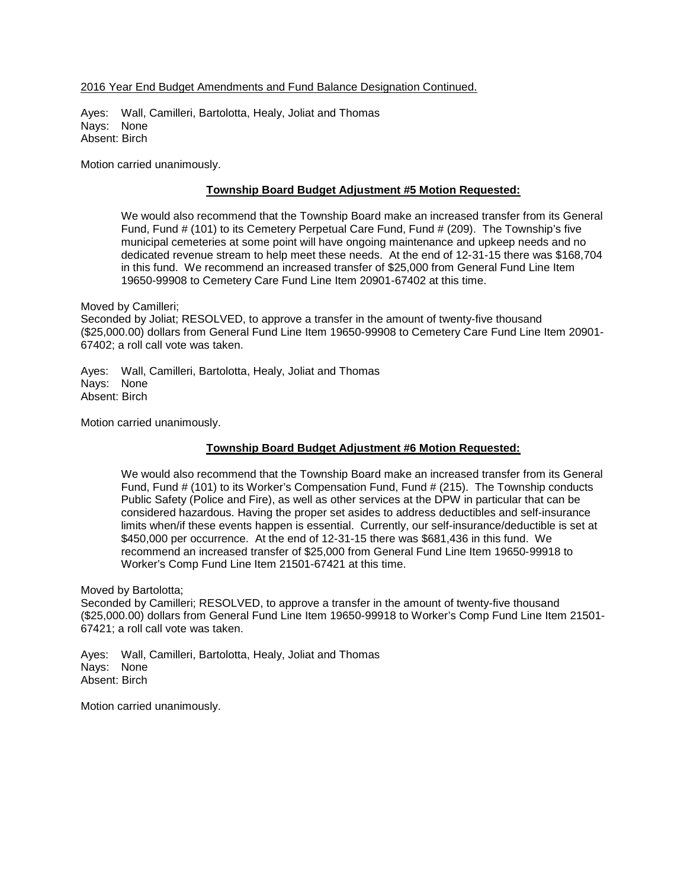Ayes: Wall, Camilleri, Bartolotta, Healy, Joliat and Thomas Nays: None Absent: Birch

Motion carried unanimously.

# **Township Board Budget Adjustment #5 Motion Requested:**

We would also recommend that the Township Board make an increased transfer from its General Fund, Fund # (101) to its Cemetery Perpetual Care Fund, Fund # (209). The Township's five municipal cemeteries at some point will have ongoing maintenance and upkeep needs and no dedicated revenue stream to help meet these needs. At the end of 12-31-15 there was \$168,704 in this fund. We recommend an increased transfer of \$25,000 from General Fund Line Item 19650-99908 to Cemetery Care Fund Line Item 20901-67402 at this time.

Moved by Camilleri;

Seconded by Joliat; RESOLVED, to approve a transfer in the amount of twenty-five thousand (\$25,000.00) dollars from General Fund Line Item 19650-99908 to Cemetery Care Fund Line Item 20901- 67402; a roll call vote was taken.

Ayes: Wall, Camilleri, Bartolotta, Healy, Joliat and Thomas Nays: None Absent: Birch

Motion carried unanimously.

# **Township Board Budget Adjustment #6 Motion Requested:**

We would also recommend that the Township Board make an increased transfer from its General Fund, Fund # (101) to its Worker's Compensation Fund, Fund # (215). The Township conducts Public Safety (Police and Fire), as well as other services at the DPW in particular that can be considered hazardous. Having the proper set asides to address deductibles and self-insurance limits when/if these events happen is essential. Currently, our self-insurance/deductible is set at \$450,000 per occurrence. At the end of 12-31-15 there was \$681,436 in this fund. We recommend an increased transfer of \$25,000 from General Fund Line Item 19650-99918 to Worker's Comp Fund Line Item 21501-67421 at this time.

Moved by Bartolotta;

Seconded by Camilleri; RESOLVED, to approve a transfer in the amount of twenty-five thousand (\$25,000.00) dollars from General Fund Line Item 19650-99918 to Worker's Comp Fund Line Item 21501- 67421; a roll call vote was taken.

Ayes: Wall, Camilleri, Bartolotta, Healy, Joliat and Thomas Nays: None Absent: Birch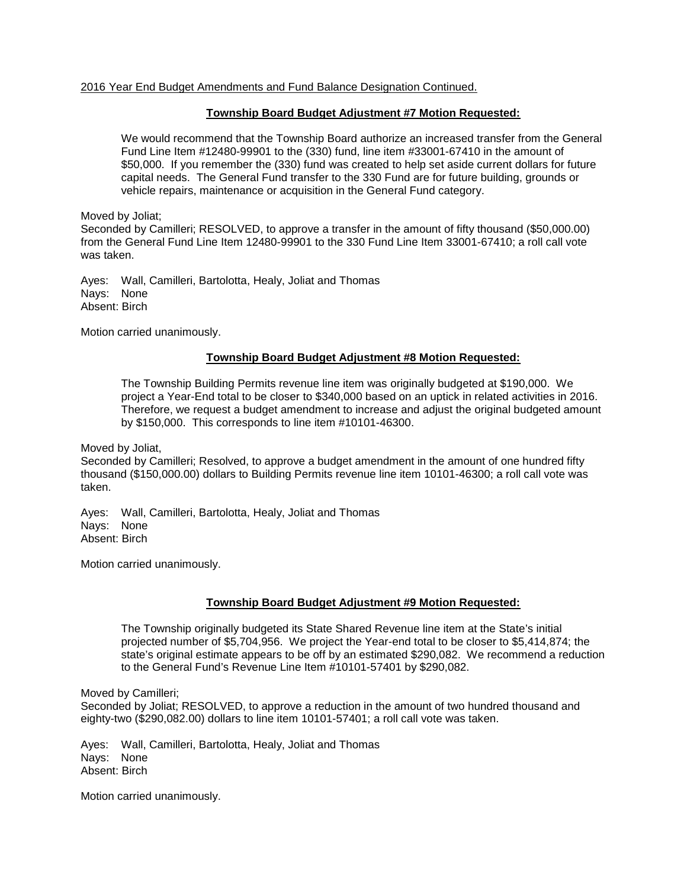## **Township Board Budget Adjustment #7 Motion Requested:**

We would recommend that the Township Board authorize an increased transfer from the General Fund Line Item #12480-99901 to the (330) fund, line item #33001-67410 in the amount of \$50,000. If you remember the (330) fund was created to help set aside current dollars for future capital needs. The General Fund transfer to the 330 Fund are for future building, grounds or vehicle repairs, maintenance or acquisition in the General Fund category.

Moved by Joliat;

Seconded by Camilleri; RESOLVED, to approve a transfer in the amount of fifty thousand (\$50,000.00) from the General Fund Line Item 12480-99901 to the 330 Fund Line Item 33001-67410; a roll call vote was taken.

Ayes: Wall, Camilleri, Bartolotta, Healy, Joliat and Thomas Nays: None Absent: Birch

Motion carried unanimously.

# **Township Board Budget Adjustment #8 Motion Requested:**

The Township Building Permits revenue line item was originally budgeted at \$190,000. We project a Year-End total to be closer to \$340,000 based on an uptick in related activities in 2016. Therefore, we request a budget amendment to increase and adjust the original budgeted amount by \$150,000. This corresponds to line item #10101-46300.

Moved by Joliat,

Seconded by Camilleri; Resolved, to approve a budget amendment in the amount of one hundred fifty thousand (\$150,000.00) dollars to Building Permits revenue line item 10101-46300; a roll call vote was taken.

Ayes: Wall, Camilleri, Bartolotta, Healy, Joliat and Thomas Nays: None Absent: Birch

Motion carried unanimously.

# **Township Board Budget Adjustment #9 Motion Requested:**

The Township originally budgeted its State Shared Revenue line item at the State's initial projected number of \$5,704,956. We project the Year-end total to be closer to \$5,414,874; the state's original estimate appears to be off by an estimated \$290,082. We recommend a reduction to the General Fund's Revenue Line Item #10101-57401 by \$290,082.

Moved by Camilleri;

Seconded by Joliat; RESOLVED, to approve a reduction in the amount of two hundred thousand and eighty-two (\$290,082.00) dollars to line item 10101-57401; a roll call vote was taken.

Ayes: Wall, Camilleri, Bartolotta, Healy, Joliat and Thomas Nays: None Absent: Birch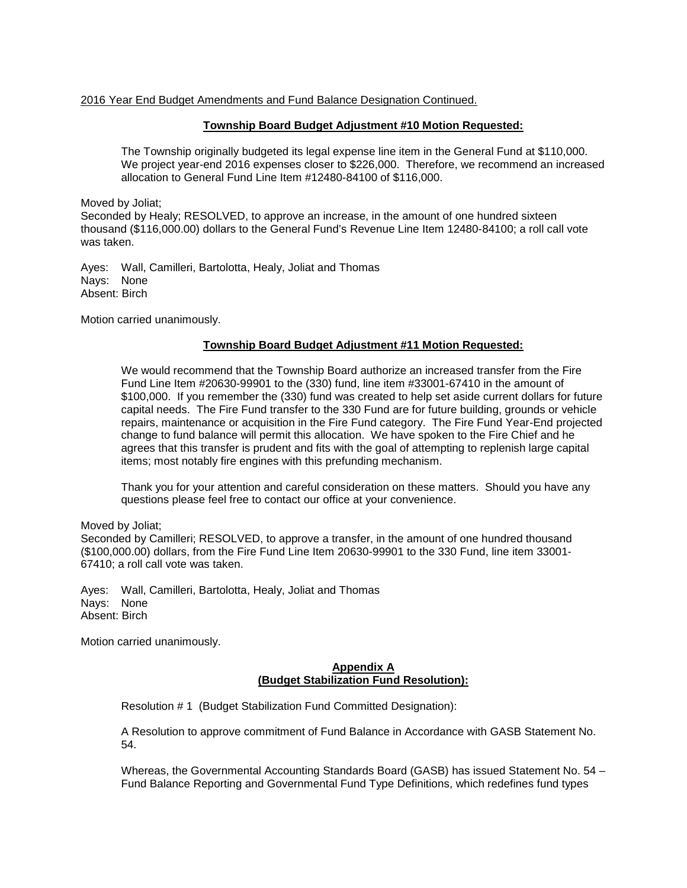## **Township Board Budget Adjustment #10 Motion Requested:**

The Township originally budgeted its legal expense line item in the General Fund at \$110,000. We project year-end 2016 expenses closer to \$226,000. Therefore, we recommend an increased allocation to General Fund Line Item #12480-84100 of \$116,000.

Moved by Joliat;

Seconded by Healy; RESOLVED, to approve an increase, in the amount of one hundred sixteen thousand (\$116,000.00) dollars to the General Fund's Revenue Line Item 12480-84100; a roll call vote was taken.

Ayes: Wall, Camilleri, Bartolotta, Healy, Joliat and Thomas Nays: None Absent: Birch

Motion carried unanimously.

## **Township Board Budget Adjustment #11 Motion Requested:**

We would recommend that the Township Board authorize an increased transfer from the Fire Fund Line Item #20630-99901 to the (330) fund, line item #33001-67410 in the amount of \$100,000. If you remember the (330) fund was created to help set aside current dollars for future capital needs. The Fire Fund transfer to the 330 Fund are for future building, grounds or vehicle repairs, maintenance or acquisition in the Fire Fund category. The Fire Fund Year-End projected change to fund balance will permit this allocation. We have spoken to the Fire Chief and he agrees that this transfer is prudent and fits with the goal of attempting to replenish large capital items; most notably fire engines with this prefunding mechanism.

Thank you for your attention and careful consideration on these matters. Should you have any questions please feel free to contact our office at your convenience.

Moved by Joliat;

Seconded by Camilleri; RESOLVED, to approve a transfer, in the amount of one hundred thousand (\$100,000.00) dollars, from the Fire Fund Line Item 20630-99901 to the 330 Fund, line item 33001- 67410; a roll call vote was taken.

Ayes: Wall, Camilleri, Bartolotta, Healy, Joliat and Thomas Nays: None Absent: Birch

Motion carried unanimously.

## **Appendix A (Budget Stabilization Fund Resolution):**

Resolution # 1 (Budget Stabilization Fund Committed Designation):

A Resolution to approve commitment of Fund Balance in Accordance with GASB Statement No. 54.

Whereas, the Governmental Accounting Standards Board (GASB) has issued Statement No. 54 – Fund Balance Reporting and Governmental Fund Type Definitions, which redefines fund types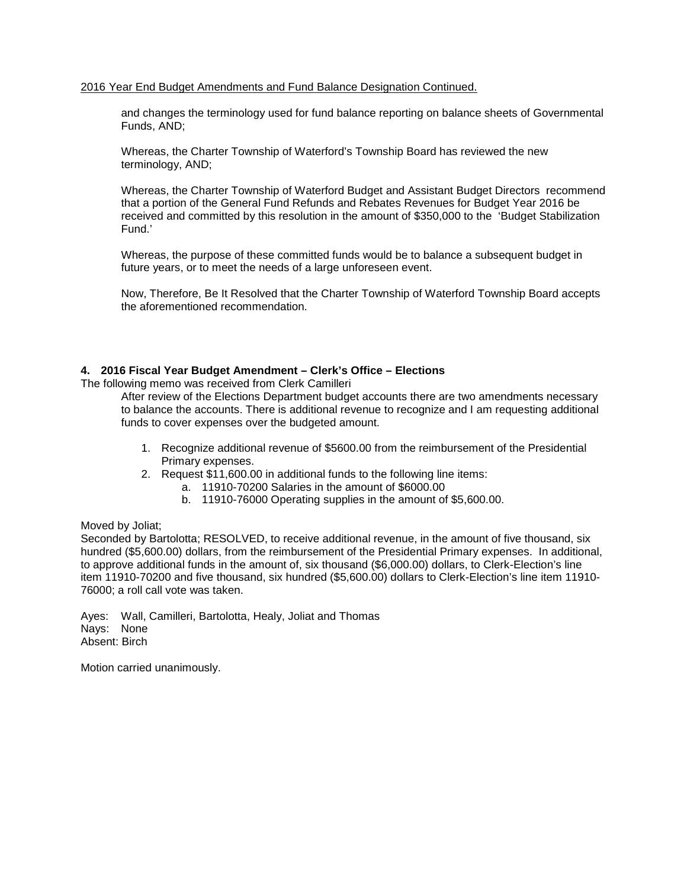and changes the terminology used for fund balance reporting on balance sheets of Governmental Funds, AND;

Whereas, the Charter Township of Waterford's Township Board has reviewed the new terminology, AND;

Whereas, the Charter Township of Waterford Budget and Assistant Budget Directors recommend that a portion of the General Fund Refunds and Rebates Revenues for Budget Year 2016 be received and committed by this resolution in the amount of \$350,000 to the 'Budget Stabilization Fund.'

Whereas, the purpose of these committed funds would be to balance a subsequent budget in future years, or to meet the needs of a large unforeseen event.

Now, Therefore, Be It Resolved that the Charter Township of Waterford Township Board accepts the aforementioned recommendation.

## **4. 2016 Fiscal Year Budget Amendment – Clerk's Office – Elections**

The following memo was received from Clerk Camilleri

After review of the Elections Department budget accounts there are two amendments necessary to balance the accounts. There is additional revenue to recognize and I am requesting additional funds to cover expenses over the budgeted amount.

- 1. Recognize additional revenue of \$5600.00 from the reimbursement of the Presidential Primary expenses.
- 2. Request \$11,600.00 in additional funds to the following line items:
	- a. 11910-70200 Salaries in the amount of \$6000.00
	- b. 11910-76000 Operating supplies in the amount of \$5,600.00.

#### Moved by Joliat;

Seconded by Bartolotta; RESOLVED, to receive additional revenue, in the amount of five thousand, six hundred (\$5,600.00) dollars, from the reimbursement of the Presidential Primary expenses. In additional, to approve additional funds in the amount of, six thousand (\$6,000.00) dollars, to Clerk-Election's line item 11910-70200 and five thousand, six hundred (\$5,600.00) dollars to Clerk-Election's line item 11910- 76000; a roll call vote was taken.

Ayes: Wall, Camilleri, Bartolotta, Healy, Joliat and Thomas Nays: None Absent: Birch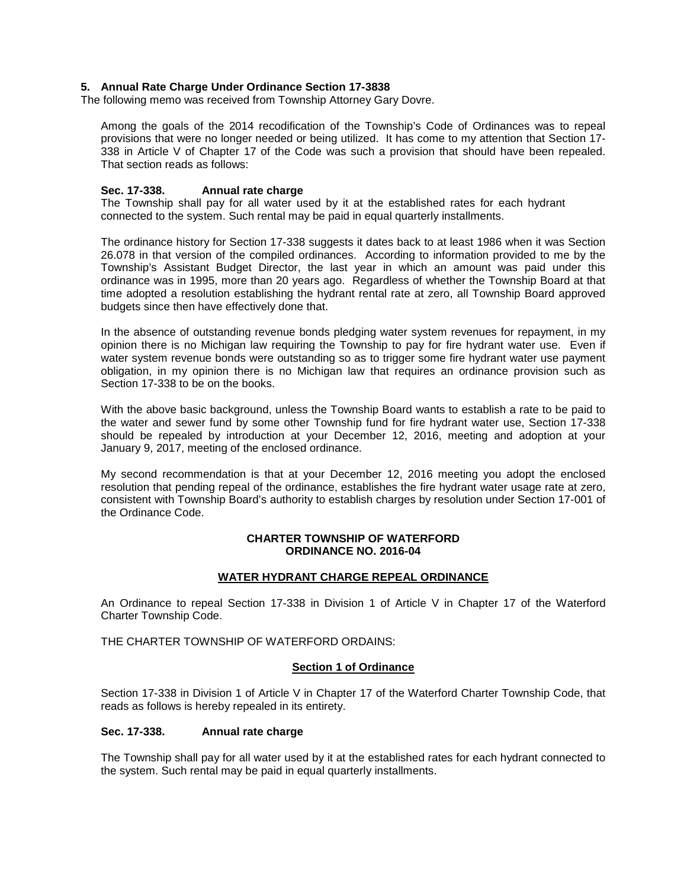## **5. Annual Rate Charge Under Ordinance Section 17-3838**

The following memo was received from Township Attorney Gary Dovre.

Among the goals of the 2014 recodification of the Township's Code of Ordinances was to repeal provisions that were no longer needed or being utilized. It has come to my attention that Section 17- 338 in Article V of Chapter 17 of the Code was such a provision that should have been repealed. That section reads as follows:

## **Sec. 17-338. Annual rate charge**

The Township shall pay for all water used by it at the established rates for each hydrant connected to the system. Such rental may be paid in equal quarterly installments.

The ordinance history for Section 17-338 suggests it dates back to at least 1986 when it was Section 26.078 in that version of the compiled ordinances. According to information provided to me by the Township's Assistant Budget Director, the last year in which an amount was paid under this ordinance was in 1995, more than 20 years ago. Regardless of whether the Township Board at that time adopted a resolution establishing the hydrant rental rate at zero, all Township Board approved budgets since then have effectively done that.

In the absence of outstanding revenue bonds pledging water system revenues for repayment, in my opinion there is no Michigan law requiring the Township to pay for fire hydrant water use. Even if water system revenue bonds were outstanding so as to trigger some fire hydrant water use payment obligation, in my opinion there is no Michigan law that requires an ordinance provision such as Section 17-338 to be on the books.

With the above basic background, unless the Township Board wants to establish a rate to be paid to the water and sewer fund by some other Township fund for fire hydrant water use, Section 17-338 should be repealed by introduction at your December 12, 2016, meeting and adoption at your January 9, 2017, meeting of the enclosed ordinance.

My second recommendation is that at your December 12, 2016 meeting you adopt the enclosed resolution that pending repeal of the ordinance, establishes the fire hydrant water usage rate at zero, consistent with Township Board's authority to establish charges by resolution under Section 17-001 of the Ordinance Code.

### **CHARTER TOWNSHIP OF WATERFORD ORDINANCE NO. 2016-04**

## **WATER HYDRANT CHARGE REPEAL ORDINANCE**

An Ordinance to repeal Section 17-338 in Division 1 of Article V in Chapter 17 of the Waterford Charter Township Code.

THE CHARTER TOWNSHIP OF WATERFORD ORDAINS:

## **Section 1 of Ordinance**

Section 17-338 in Division 1 of Article V in Chapter 17 of the Waterford Charter Township Code, that reads as follows is hereby repealed in its entirety.

#### **Sec. 17-338. Annual rate charge**

The Township shall pay for all water used by it at the established rates for each hydrant connected to the system. Such rental may be paid in equal quarterly installments.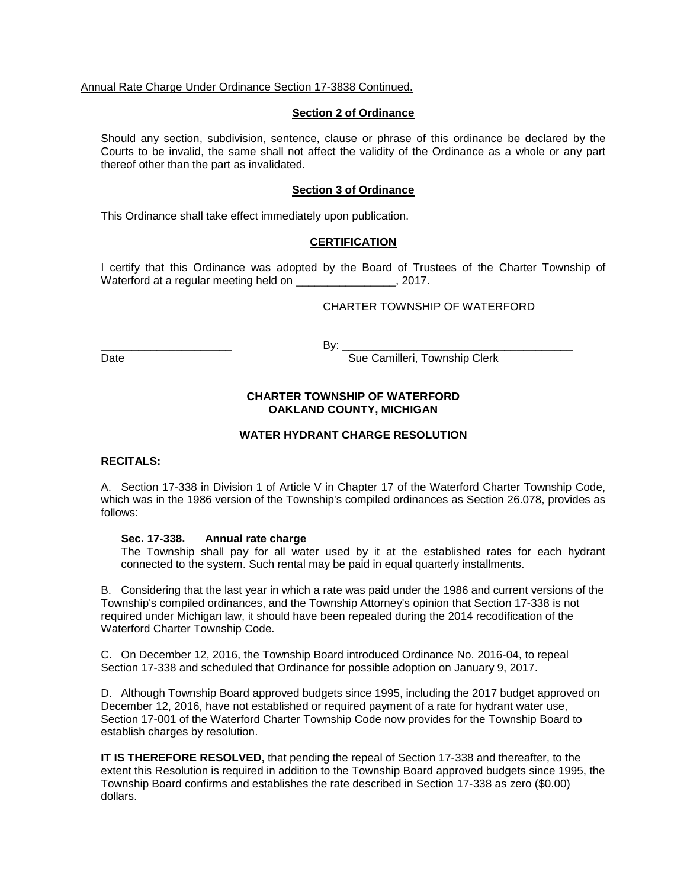Annual Rate Charge Under Ordinance Section 17-3838 Continued.

#### **Section 2 of Ordinance**

Should any section, subdivision, sentence, clause or phrase of this ordinance be declared by the Courts to be invalid, the same shall not affect the validity of the Ordinance as a whole or any part thereof other than the part as invalidated.

## **Section 3 of Ordinance**

This Ordinance shall take effect immediately upon publication.

## **CERTIFICATION**

I certify that this Ordinance was adopted by the Board of Trustees of the Charter Township of Waterford at a regular meeting held on example 2017.

# CHARTER TOWNSHIP OF WATERFORD

\_\_\_\_\_\_\_\_\_\_\_\_\_\_\_\_\_\_\_\_\_ By: \_\_\_\_\_\_\_\_\_\_\_\_\_\_\_\_\_\_\_\_\_\_\_\_\_\_\_\_\_\_\_\_\_\_\_\_\_

Date **Sue Camilleri, Township Clerk** Sue Camilleri, Township Clerk

# **CHARTER TOWNSHIP OF WATERFORD OAKLAND COUNTY, MICHIGAN**

## **WATER HYDRANT CHARGE RESOLUTION**

#### **RECITALS:**

A. Section 17-338 in Division 1 of Article V in Chapter 17 of the Waterford Charter Township Code, which was in the 1986 version of the Township's compiled ordinances as Section 26.078, provides as follows:

#### **Sec. 17-338. Annual rate charge**

The Township shall pay for all water used by it at the established rates for each hydrant connected to the system. Such rental may be paid in equal quarterly installments.

B. Considering that the last year in which a rate was paid under the 1986 and current versions of the Township's compiled ordinances, and the Township Attorney's opinion that Section 17-338 is not required under Michigan law, it should have been repealed during the 2014 recodification of the Waterford Charter Township Code.

C. On December 12, 2016, the Township Board introduced Ordinance No. 2016-04, to repeal Section 17-338 and scheduled that Ordinance for possible adoption on January 9, 2017.

D. Although Township Board approved budgets since 1995, including the 2017 budget approved on December 12, 2016, have not established or required payment of a rate for hydrant water use, Section 17-001 of the Waterford Charter Township Code now provides for the Township Board to establish charges by resolution.

**IT IS THEREFORE RESOLVED,** that pending the repeal of Section 17-338 and thereafter, to the extent this Resolution is required in addition to the Township Board approved budgets since 1995, the Township Board confirms and establishes the rate described in Section 17-338 as zero (\$0.00) dollars.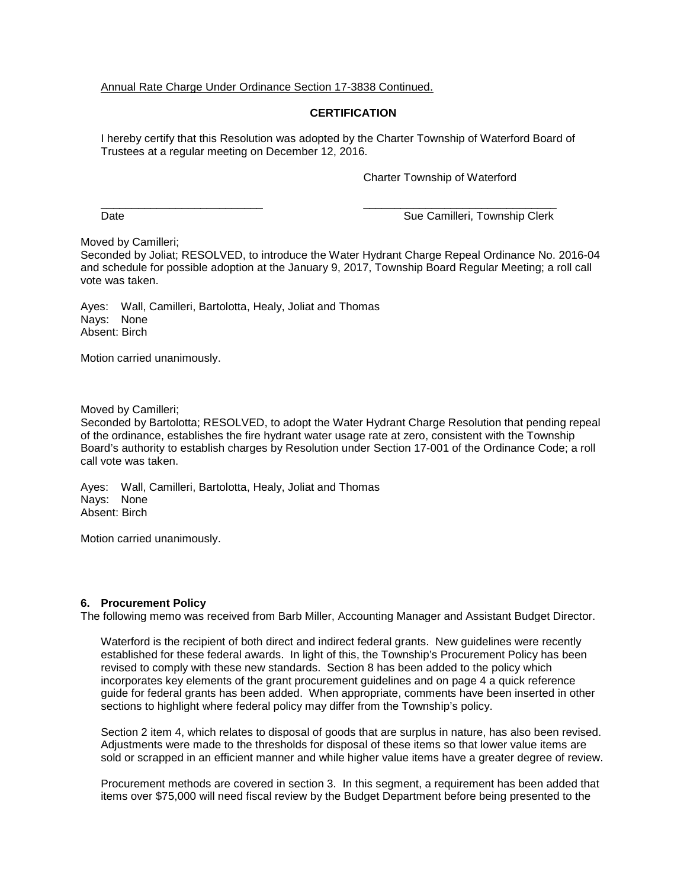Annual Rate Charge Under Ordinance Section 17-3838 Continued.

# **CERTIFICATION**

I hereby certify that this Resolution was adopted by the Charter Township of Waterford Board of Trustees at a regular meeting on December 12, 2016.

Charter Township of Waterford

\_\_\_\_\_\_\_\_\_\_\_\_\_\_\_\_\_\_\_\_\_\_\_\_\_\_ \_\_\_\_\_\_\_\_\_\_\_\_\_\_\_\_\_\_\_\_\_\_\_\_\_\_\_\_\_\_\_ Date **Sue Camilleri, Township Clerk** Sue Camilleri, Township Clerk

Moved by Camilleri;

Seconded by Joliat; RESOLVED, to introduce the Water Hydrant Charge Repeal Ordinance No. 2016-04 and schedule for possible adoption at the January 9, 2017, Township Board Regular Meeting; a roll call vote was taken.

Ayes: Wall, Camilleri, Bartolotta, Healy, Joliat and Thomas Nays: None Absent: Birch

Motion carried unanimously.

Moved by Camilleri;

Seconded by Bartolotta; RESOLVED, to adopt the Water Hydrant Charge Resolution that pending repeal of the ordinance, establishes the fire hydrant water usage rate at zero, consistent with the Township Board's authority to establish charges by Resolution under Section 17-001 of the Ordinance Code; a roll call vote was taken.

Ayes: Wall, Camilleri, Bartolotta, Healy, Joliat and Thomas Nays: None Absent: Birch

Motion carried unanimously.

## **6. Procurement Policy**

The following memo was received from Barb Miller, Accounting Manager and Assistant Budget Director.

Waterford is the recipient of both direct and indirect federal grants. New guidelines were recently established for these federal awards. In light of this, the Township's Procurement Policy has been revised to comply with these new standards. Section 8 has been added to the policy which incorporates key elements of the grant procurement guidelines and on page 4 a quick reference guide for federal grants has been added. When appropriate, comments have been inserted in other sections to highlight where federal policy may differ from the Township's policy.

Section 2 item 4, which relates to disposal of goods that are surplus in nature, has also been revised. Adjustments were made to the thresholds for disposal of these items so that lower value items are sold or scrapped in an efficient manner and while higher value items have a greater degree of review.

Procurement methods are covered in section 3. In this segment, a requirement has been added that items over \$75,000 will need fiscal review by the Budget Department before being presented to the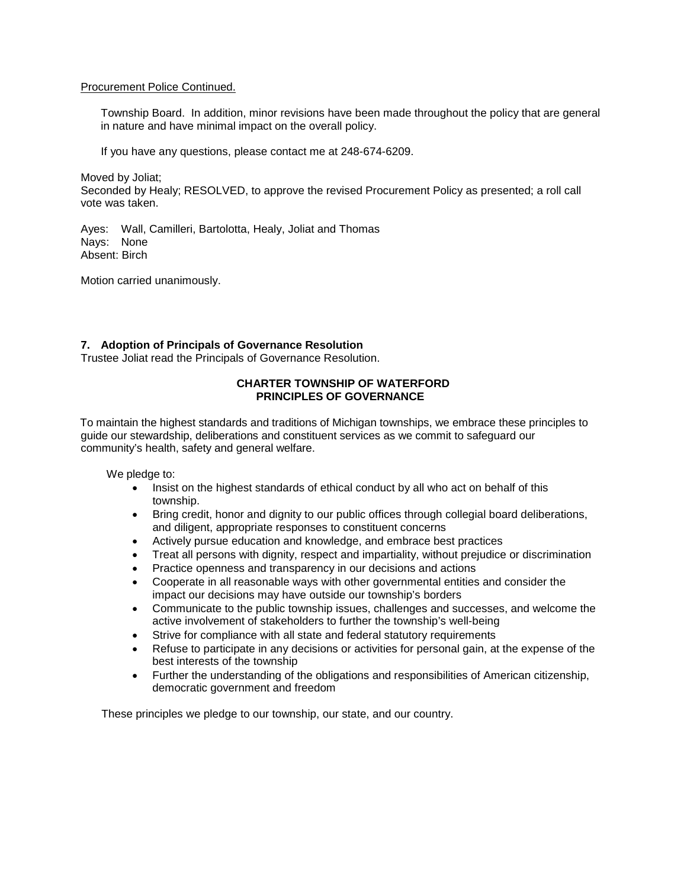## Procurement Police Continued.

Township Board. In addition, minor revisions have been made throughout the policy that are general in nature and have minimal impact on the overall policy.

If you have any questions, please contact me at 248-674-6209.

Moved by Joliat; Seconded by Healy; RESOLVED, to approve the revised Procurement Policy as presented; a roll call vote was taken.

Ayes: Wall, Camilleri, Bartolotta, Healy, Joliat and Thomas Nays: None Absent: Birch

Motion carried unanimously.

## **7. Adoption of Principals of Governance Resolution**

Trustee Joliat read the Principals of Governance Resolution.

## **CHARTER TOWNSHIP OF WATERFORD PRINCIPLES OF GOVERNANCE**

To maintain the highest standards and traditions of Michigan townships, we embrace these principles to guide our stewardship, deliberations and constituent services as we commit to safeguard our community's health, safety and general welfare.

We pledge to:

- Insist on the highest standards of ethical conduct by all who act on behalf of this township.
- Bring credit, honor and dignity to our public offices through collegial board deliberations, and diligent, appropriate responses to constituent concerns
- Actively pursue education and knowledge, and embrace best practices
- Treat all persons with dignity, respect and impartiality, without prejudice or discrimination
- Practice openness and transparency in our decisions and actions
- Cooperate in all reasonable ways with other governmental entities and consider the impact our decisions may have outside our township's borders
- Communicate to the public township issues, challenges and successes, and welcome the active involvement of stakeholders to further the township's well-being
- Strive for compliance with all state and federal statutory requirements
- Refuse to participate in any decisions or activities for personal gain, at the expense of the best interests of the township
- Further the understanding of the obligations and responsibilities of American citizenship, democratic government and freedom

These principles we pledge to our township, our state, and our country.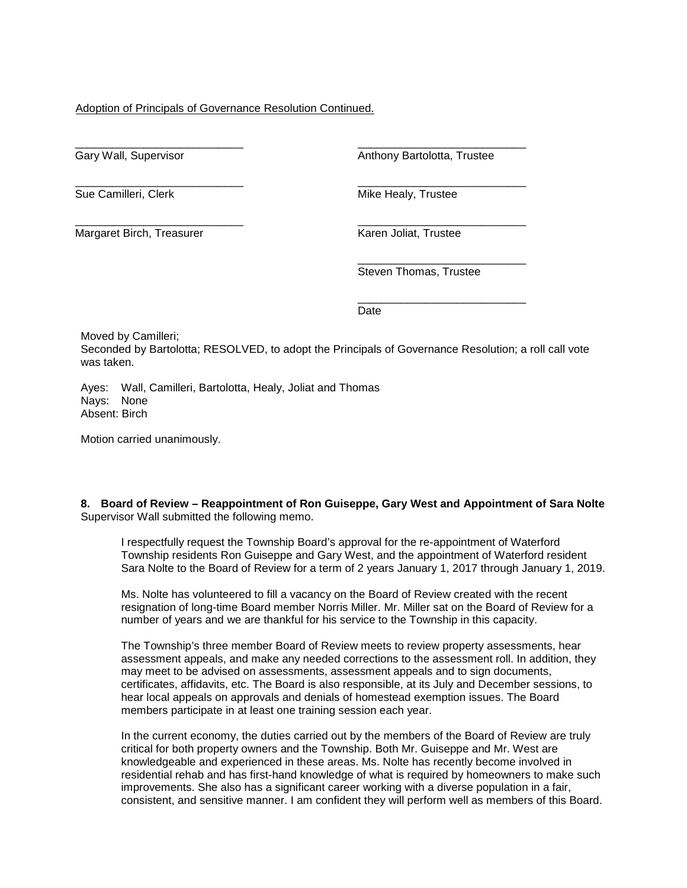# Adoption of Principals of Governance Resolution Continued.

\_\_\_\_\_\_\_\_\_\_\_\_\_\_\_\_\_\_\_\_\_\_\_\_\_\_\_ Gary Wall, Supervisor

\_\_\_\_\_\_\_\_\_\_\_\_\_\_\_\_\_\_\_\_\_\_\_\_\_\_\_ Sue Camilleri, Clerk

\_\_\_\_\_\_\_\_\_\_\_\_\_\_\_\_\_\_\_\_\_\_\_\_\_\_\_ Margaret Birch, Treasurer

\_\_\_\_\_\_\_\_\_\_\_\_\_\_\_\_\_\_\_\_\_\_\_\_\_\_\_ Anthony Bartolotta, Trustee

\_\_\_\_\_\_\_\_\_\_\_\_\_\_\_\_\_\_\_\_\_\_\_\_\_\_\_ Mike Healy, Trustee

\_\_\_\_\_\_\_\_\_\_\_\_\_\_\_\_\_\_\_\_\_\_\_\_\_\_\_ Karen Joliat, Trustee

\_\_\_\_\_\_\_\_\_\_\_\_\_\_\_\_\_\_\_\_\_\_\_\_\_\_\_ Steven Thomas, Trustee

\_\_\_\_\_\_\_\_\_\_\_\_\_\_\_\_\_\_\_\_\_\_\_\_\_\_\_ Date

Moved by Camilleri;

Seconded by Bartolotta; RESOLVED, to adopt the Principals of Governance Resolution; a roll call vote was taken.

Ayes: Wall, Camilleri, Bartolotta, Healy, Joliat and Thomas Nays: None Absent: Birch

Motion carried unanimously.

#### **8. Board of Review – Reappointment of Ron Guiseppe, Gary West and Appointment of Sara Nolte** Supervisor Wall submitted the following memo.

I respectfully request the Township Board's approval for the re-appointment of Waterford Township residents Ron Guiseppe and Gary West, and the appointment of Waterford resident Sara Nolte to the Board of Review for a term of 2 years January 1, 2017 through January 1, 2019.

Ms. Nolte has volunteered to fill a vacancy on the Board of Review created with the recent resignation of long-time Board member Norris Miller. Mr. Miller sat on the Board of Review for a number of years and we are thankful for his service to the Township in this capacity.

The Township's three member Board of Review meets to review property assessments, hear assessment appeals, and make any needed corrections to the assessment roll. In addition, they may meet to be advised on assessments, assessment appeals and to sign documents, certificates, affidavits, etc. The Board is also responsible, at its July and December sessions, to hear local appeals on approvals and denials of homestead exemption issues. The Board members participate in at least one training session each year.

In the current economy, the duties carried out by the members of the Board of Review are truly critical for both property owners and the Township. Both Mr. Guiseppe and Mr. West are knowledgeable and experienced in these areas. Ms. Nolte has recently become involved in residential rehab and has first-hand knowledge of what is required by homeowners to make such improvements. She also has a significant career working with a diverse population in a fair, consistent, and sensitive manner. I am confident they will perform well as members of this Board.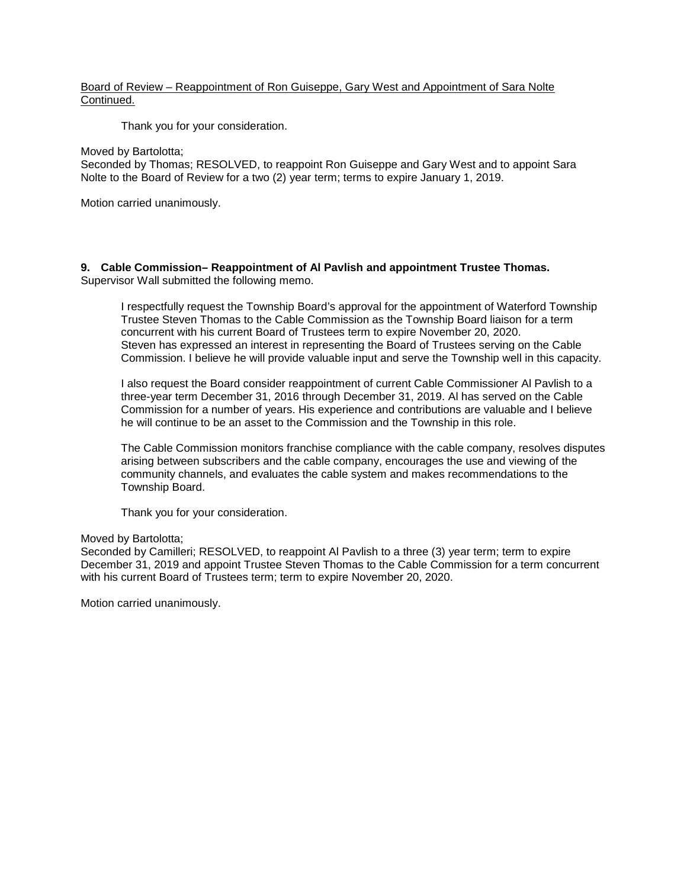# Board of Review – Reappointment of Ron Guiseppe, Gary West and Appointment of Sara Nolte Continued.

Thank you for your consideration.

## Moved by Bartolotta;

Seconded by Thomas; RESOLVED, to reappoint Ron Guiseppe and Gary West and to appoint Sara Nolte to the Board of Review for a two (2) year term; terms to expire January 1, 2019.

Motion carried unanimously.

## **9. Cable Commission– Reappointment of Al Pavlish and appointment Trustee Thomas.** Supervisor Wall submitted the following memo.

I respectfully request the Township Board's approval for the appointment of Waterford Township Trustee Steven Thomas to the Cable Commission as the Township Board liaison for a term concurrent with his current Board of Trustees term to expire November 20, 2020. Steven has expressed an interest in representing the Board of Trustees serving on the Cable Commission. I believe he will provide valuable input and serve the Township well in this capacity.

I also request the Board consider reappointment of current Cable Commissioner Al Pavlish to a three-year term December 31, 2016 through December 31, 2019. Al has served on the Cable Commission for a number of years. His experience and contributions are valuable and I believe he will continue to be an asset to the Commission and the Township in this role.

The Cable Commission monitors franchise compliance with the cable company, resolves disputes arising between subscribers and the cable company, encourages the use and viewing of the community channels, and evaluates the cable system and makes recommendations to the Township Board.

Thank you for your consideration.

## Moved by Bartolotta;

Seconded by Camilleri; RESOLVED, to reappoint Al Pavlish to a three (3) year term; term to expire December 31, 2019 and appoint Trustee Steven Thomas to the Cable Commission for a term concurrent with his current Board of Trustees term; term to expire November 20, 2020.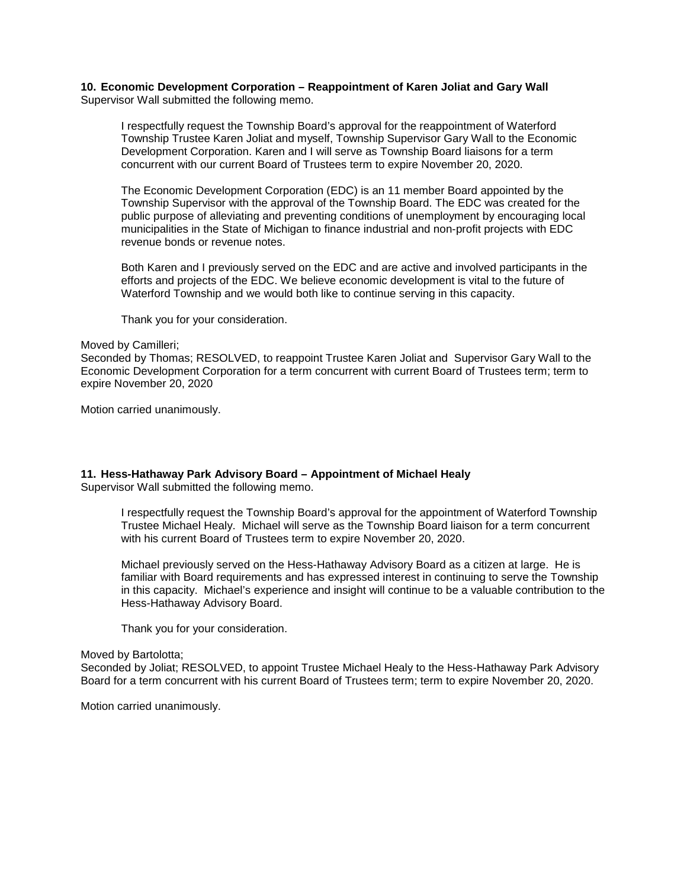#### **10. Economic Development Corporation – Reappointment of Karen Joliat and Gary Wall** Supervisor Wall submitted the following memo.

I respectfully request the Township Board's approval for the reappointment of Waterford Township Trustee Karen Joliat and myself, Township Supervisor Gary Wall to the Economic Development Corporation. Karen and I will serve as Township Board liaisons for a term concurrent with our current Board of Trustees term to expire November 20, 2020.

The Economic Development Corporation (EDC) is an 11 member Board appointed by the Township Supervisor with the approval of the Township Board. The EDC was created for the public purpose of alleviating and preventing conditions of unemployment by encouraging local municipalities in the State of Michigan to finance industrial and non-profit projects with EDC revenue bonds or revenue notes.

Both Karen and I previously served on the EDC and are active and involved participants in the efforts and projects of the EDC. We believe economic development is vital to the future of Waterford Township and we would both like to continue serving in this capacity.

Thank you for your consideration.

#### Moved by Camilleri;

Seconded by Thomas; RESOLVED, to reappoint Trustee Karen Joliat and Supervisor Gary Wall to the Economic Development Corporation for a term concurrent with current Board of Trustees term; term to expire November 20, 2020

Motion carried unanimously.

## **11. Hess-Hathaway Park Advisory Board – Appointment of Michael Healy**

Supervisor Wall submitted the following memo.

I respectfully request the Township Board's approval for the appointment of Waterford Township Trustee Michael Healy. Michael will serve as the Township Board liaison for a term concurrent with his current Board of Trustees term to expire November 20, 2020.

Michael previously served on the Hess-Hathaway Advisory Board as a citizen at large. He is familiar with Board requirements and has expressed interest in continuing to serve the Township in this capacity. Michael's experience and insight will continue to be a valuable contribution to the Hess-Hathaway Advisory Board.

Thank you for your consideration.

## Moved by Bartolotta;

Seconded by Joliat; RESOLVED, to appoint Trustee Michael Healy to the Hess-Hathaway Park Advisory Board for a term concurrent with his current Board of Trustees term; term to expire November 20, 2020.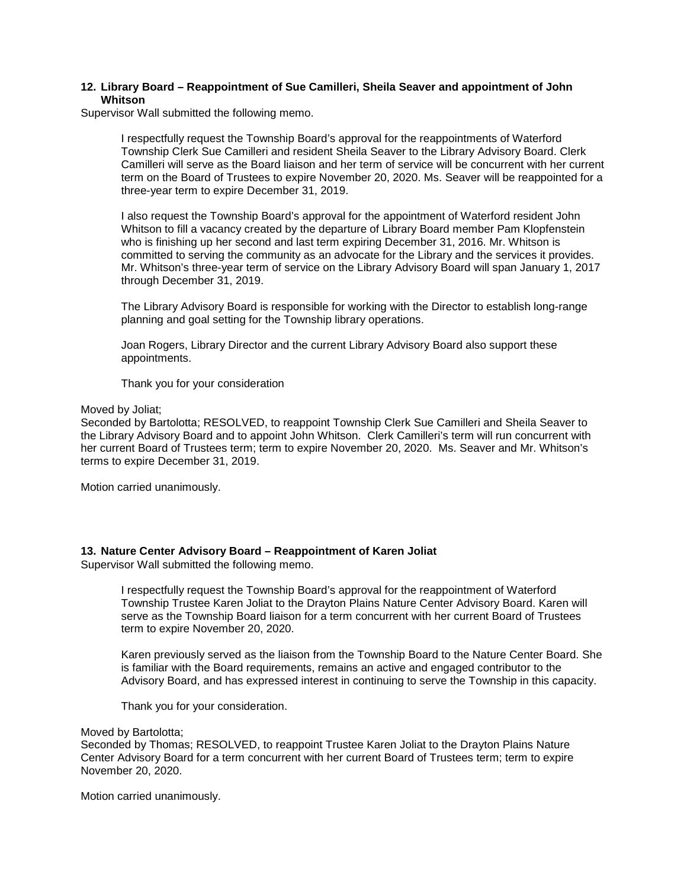## **12. Library Board – Reappointment of Sue Camilleri, Sheila Seaver and appointment of John Whitson**

Supervisor Wall submitted the following memo.

I respectfully request the Township Board's approval for the reappointments of Waterford Township Clerk Sue Camilleri and resident Sheila Seaver to the Library Advisory Board. Clerk Camilleri will serve as the Board liaison and her term of service will be concurrent with her current term on the Board of Trustees to expire November 20, 2020. Ms. Seaver will be reappointed for a three-year term to expire December 31, 2019.

I also request the Township Board's approval for the appointment of Waterford resident John Whitson to fill a vacancy created by the departure of Library Board member Pam Klopfenstein who is finishing up her second and last term expiring December 31, 2016. Mr. Whitson is committed to serving the community as an advocate for the Library and the services it provides. Mr. Whitson's three-year term of service on the Library Advisory Board will span January 1, 2017 through December 31, 2019.

The Library Advisory Board is responsible for working with the Director to establish long-range planning and goal setting for the Township library operations.

Joan Rogers, Library Director and the current Library Advisory Board also support these appointments.

Thank you for your consideration

Moved by Joliat;

Seconded by Bartolotta; RESOLVED, to reappoint Township Clerk Sue Camilleri and Sheila Seaver to the Library Advisory Board and to appoint John Whitson. Clerk Camilleri's term will run concurrent with her current Board of Trustees term; term to expire November 20, 2020. Ms. Seaver and Mr. Whitson's terms to expire December 31, 2019.

Motion carried unanimously.

## **13. Nature Center Advisory Board – Reappointment of Karen Joliat**

Supervisor Wall submitted the following memo.

I respectfully request the Township Board's approval for the reappointment of Waterford Township Trustee Karen Joliat to the Drayton Plains Nature Center Advisory Board. Karen will serve as the Township Board liaison for a term concurrent with her current Board of Trustees term to expire November 20, 2020.

Karen previously served as the liaison from the Township Board to the Nature Center Board. She is familiar with the Board requirements, remains an active and engaged contributor to the Advisory Board, and has expressed interest in continuing to serve the Township in this capacity.

Thank you for your consideration.

Moved by Bartolotta;

Seconded by Thomas; RESOLVED, to reappoint Trustee Karen Joliat to the Drayton Plains Nature Center Advisory Board for a term concurrent with her current Board of Trustees term; term to expire November 20, 2020.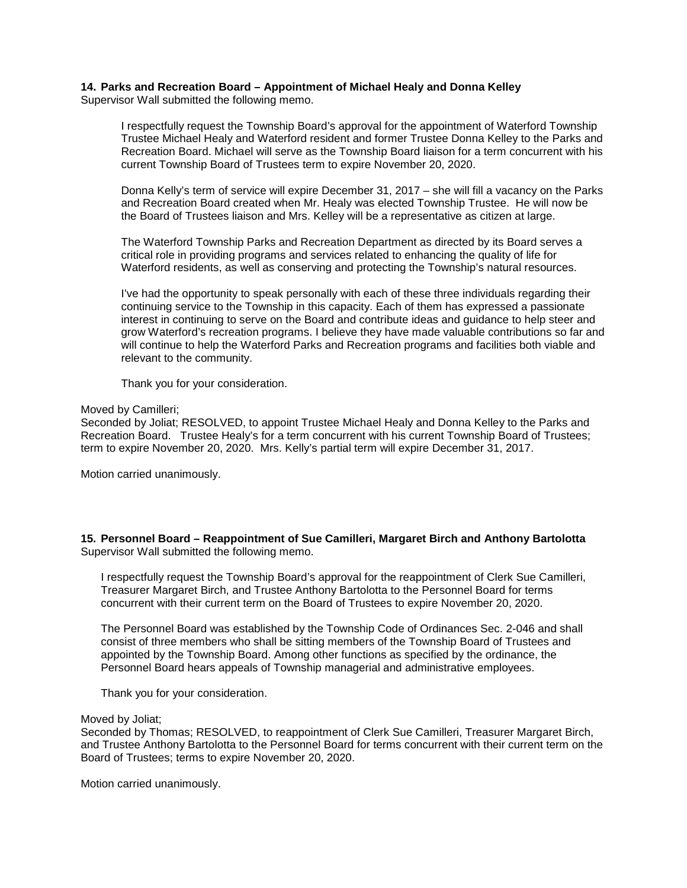# **14. Parks and Recreation Board – Appointment of Michael Healy and Donna Kelley**

Supervisor Wall submitted the following memo.

I respectfully request the Township Board's approval for the appointment of Waterford Township Trustee Michael Healy and Waterford resident and former Trustee Donna Kelley to the Parks and Recreation Board. Michael will serve as the Township Board liaison for a term concurrent with his current Township Board of Trustees term to expire November 20, 2020.

Donna Kelly's term of service will expire December 31, 2017 – she will fill a vacancy on the Parks and Recreation Board created when Mr. Healy was elected Township Trustee. He will now be the Board of Trustees liaison and Mrs. Kelley will be a representative as citizen at large.

The Waterford Township Parks and Recreation Department as directed by its Board serves a critical role in providing programs and services related to enhancing the quality of life for Waterford residents, as well as conserving and protecting the Township's natural resources.

I've had the opportunity to speak personally with each of these three individuals regarding their continuing service to the Township in this capacity. Each of them has expressed a passionate interest in continuing to serve on the Board and contribute ideas and guidance to help steer and grow Waterford's recreation programs. I believe they have made valuable contributions so far and will continue to help the Waterford Parks and Recreation programs and facilities both viable and relevant to the community.

Thank you for your consideration.

#### Moved by Camilleri;

Seconded by Joliat; RESOLVED, to appoint Trustee Michael Healy and Donna Kelley to the Parks and Recreation Board. Trustee Healy's for a term concurrent with his current Township Board of Trustees; term to expire November 20, 2020. Mrs. Kelly's partial term will expire December 31, 2017.

Motion carried unanimously.

**15. Personnel Board – Reappointment of Sue Camilleri, Margaret Birch and Anthony Bartolotta** Supervisor Wall submitted the following memo.

I respectfully request the Township Board's approval for the reappointment of Clerk Sue Camilleri, Treasurer Margaret Birch, and Trustee Anthony Bartolotta to the Personnel Board for terms concurrent with their current term on the Board of Trustees to expire November 20, 2020.

The Personnel Board was established by the Township Code of Ordinances Sec. 2-046 and shall consist of three members who shall be sitting members of the Township Board of Trustees and appointed by the Township Board. Among other functions as specified by the ordinance, the Personnel Board hears appeals of Township managerial and administrative employees.

Thank you for your consideration.

#### Moved by Joliat;

Seconded by Thomas; RESOLVED, to reappointment of Clerk Sue Camilleri, Treasurer Margaret Birch, and Trustee Anthony Bartolotta to the Personnel Board for terms concurrent with their current term on the Board of Trustees; terms to expire November 20, 2020.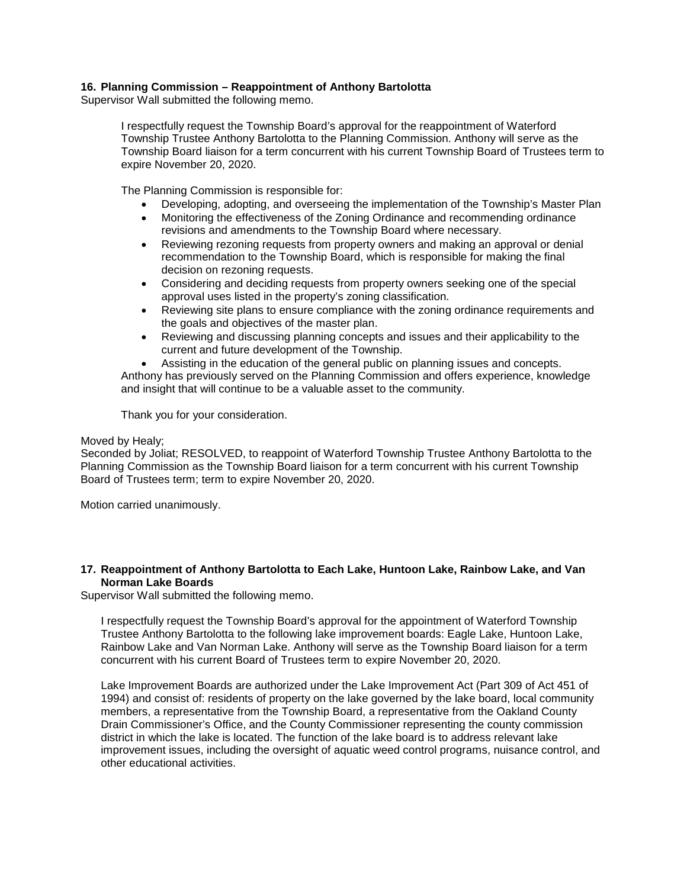# **16. Planning Commission – Reappointment of Anthony Bartolotta**

Supervisor Wall submitted the following memo.

I respectfully request the Township Board's approval for the reappointment of Waterford Township Trustee Anthony Bartolotta to the Planning Commission. Anthony will serve as the Township Board liaison for a term concurrent with his current Township Board of Trustees term to expire November 20, 2020.

The Planning Commission is responsible for:

- Developing, adopting, and overseeing the implementation of the Township's Master Plan
- Monitoring the effectiveness of the Zoning Ordinance and recommending ordinance revisions and amendments to the Township Board where necessary.
- Reviewing rezoning requests from property owners and making an approval or denial recommendation to the Township Board, which is responsible for making the final decision on rezoning requests.
- Considering and deciding requests from property owners seeking one of the special approval uses listed in the property's zoning classification.
- Reviewing site plans to ensure compliance with the zoning ordinance requirements and the goals and objectives of the master plan.
- Reviewing and discussing planning concepts and issues and their applicability to the current and future development of the Township.
- Assisting in the education of the general public on planning issues and concepts.

Anthony has previously served on the Planning Commission and offers experience, knowledge and insight that will continue to be a valuable asset to the community.

Thank you for your consideration.

## Moved by Healy;

Seconded by Joliat; RESOLVED, to reappoint of Waterford Township Trustee Anthony Bartolotta to the Planning Commission as the Township Board liaison for a term concurrent with his current Township Board of Trustees term; term to expire November 20, 2020.

Motion carried unanimously.

## **17. Reappointment of Anthony Bartolotta to Each Lake, Huntoon Lake, Rainbow Lake, and Van Norman Lake Boards**

Supervisor Wall submitted the following memo.

I respectfully request the Township Board's approval for the appointment of Waterford Township Trustee Anthony Bartolotta to the following lake improvement boards: Eagle Lake, Huntoon Lake, Rainbow Lake and Van Norman Lake. Anthony will serve as the Township Board liaison for a term concurrent with his current Board of Trustees term to expire November 20, 2020.

Lake Improvement Boards are authorized under the Lake Improvement Act (Part 309 of Act 451 of 1994) and consist of: residents of property on the lake governed by the lake board, local community members, a representative from the Township Board, a representative from the Oakland County Drain Commissioner's Office, and the County Commissioner representing the county commission district in which the lake is located. The function of the lake board is to address relevant lake improvement issues, including the oversight of aquatic weed control programs, nuisance control, and other educational activities.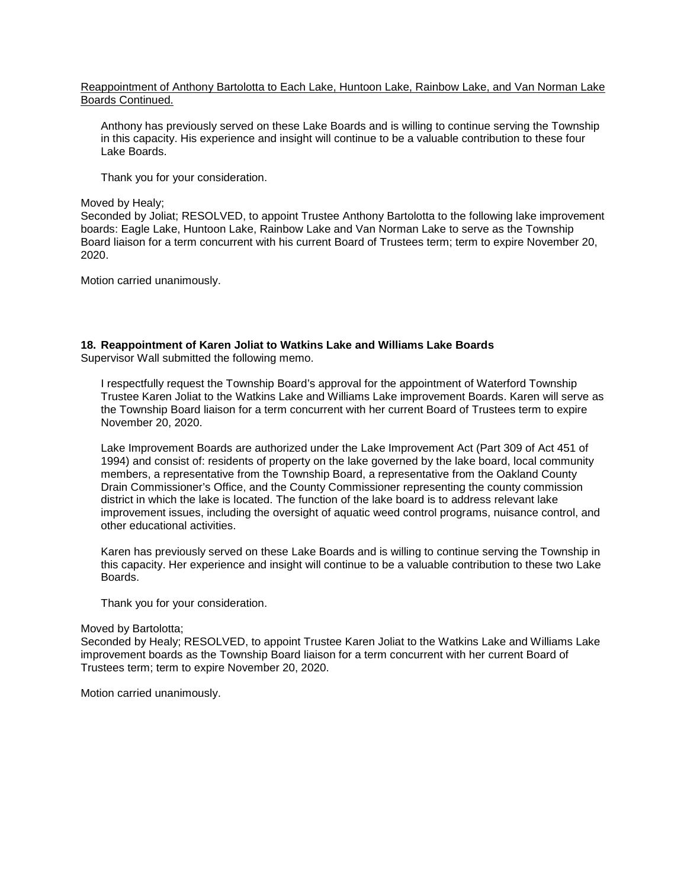## Reappointment of Anthony Bartolotta to Each Lake, Huntoon Lake, Rainbow Lake, and Van Norman Lake Boards Continued.

Anthony has previously served on these Lake Boards and is willing to continue serving the Township in this capacity. His experience and insight will continue to be a valuable contribution to these four Lake Boards.

Thank you for your consideration.

## Moved by Healy;

Seconded by Joliat; RESOLVED, to appoint Trustee Anthony Bartolotta to the following lake improvement boards: Eagle Lake, Huntoon Lake, Rainbow Lake and Van Norman Lake to serve as the Township Board liaison for a term concurrent with his current Board of Trustees term; term to expire November 20, 2020.

Motion carried unanimously.

# **18. Reappointment of Karen Joliat to Watkins Lake and Williams Lake Boards**

Supervisor Wall submitted the following memo.

I respectfully request the Township Board's approval for the appointment of Waterford Township Trustee Karen Joliat to the Watkins Lake and Williams Lake improvement Boards. Karen will serve as the Township Board liaison for a term concurrent with her current Board of Trustees term to expire November 20, 2020.

Lake Improvement Boards are authorized under the Lake Improvement Act (Part 309 of Act 451 of 1994) and consist of: residents of property on the lake governed by the lake board, local community members, a representative from the Township Board, a representative from the Oakland County Drain Commissioner's Office, and the County Commissioner representing the county commission district in which the lake is located. The function of the lake board is to address relevant lake improvement issues, including the oversight of aquatic weed control programs, nuisance control, and other educational activities.

Karen has previously served on these Lake Boards and is willing to continue serving the Township in this capacity. Her experience and insight will continue to be a valuable contribution to these two Lake Boards.

Thank you for your consideration.

## Moved by Bartolotta;

Seconded by Healy; RESOLVED, to appoint Trustee Karen Joliat to the Watkins Lake and Williams Lake improvement boards as the Township Board liaison for a term concurrent with her current Board of Trustees term; term to expire November 20, 2020.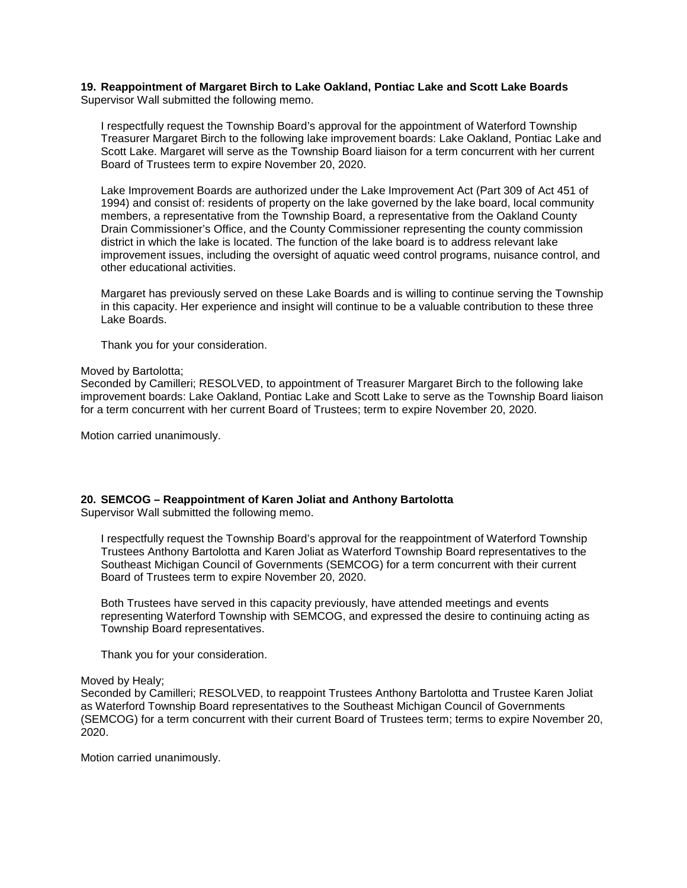#### **19. Reappointment of Margaret Birch to Lake Oakland, Pontiac Lake and Scott Lake Boards** Supervisor Wall submitted the following memo.

I respectfully request the Township Board's approval for the appointment of Waterford Township Treasurer Margaret Birch to the following lake improvement boards: Lake Oakland, Pontiac Lake and Scott Lake. Margaret will serve as the Township Board liaison for a term concurrent with her current Board of Trustees term to expire November 20, 2020.

Lake Improvement Boards are authorized under the Lake Improvement Act (Part 309 of Act 451 of 1994) and consist of: residents of property on the lake governed by the lake board, local community members, a representative from the Township Board, a representative from the Oakland County Drain Commissioner's Office, and the County Commissioner representing the county commission district in which the lake is located. The function of the lake board is to address relevant lake improvement issues, including the oversight of aquatic weed control programs, nuisance control, and other educational activities.

Margaret has previously served on these Lake Boards and is willing to continue serving the Township in this capacity. Her experience and insight will continue to be a valuable contribution to these three Lake Boards.

Thank you for your consideration.

#### Moved by Bartolotta;

Seconded by Camilleri; RESOLVED, to appointment of Treasurer Margaret Birch to the following lake improvement boards: Lake Oakland, Pontiac Lake and Scott Lake to serve as the Township Board liaison for a term concurrent with her current Board of Trustees; term to expire November 20, 2020.

Motion carried unanimously.

## **20. SEMCOG – Reappointment of Karen Joliat and Anthony Bartolotta**

Supervisor Wall submitted the following memo.

I respectfully request the Township Board's approval for the reappointment of Waterford Township Trustees Anthony Bartolotta and Karen Joliat as Waterford Township Board representatives to the Southeast Michigan Council of Governments (SEMCOG) for a term concurrent with their current Board of Trustees term to expire November 20, 2020.

Both Trustees have served in this capacity previously, have attended meetings and events representing Waterford Township with SEMCOG, and expressed the desire to continuing acting as Township Board representatives.

Thank you for your consideration.

## Moved by Healy;

Seconded by Camilleri; RESOLVED, to reappoint Trustees Anthony Bartolotta and Trustee Karen Joliat as Waterford Township Board representatives to the Southeast Michigan Council of Governments (SEMCOG) for a term concurrent with their current Board of Trustees term; terms to expire November 20, 2020.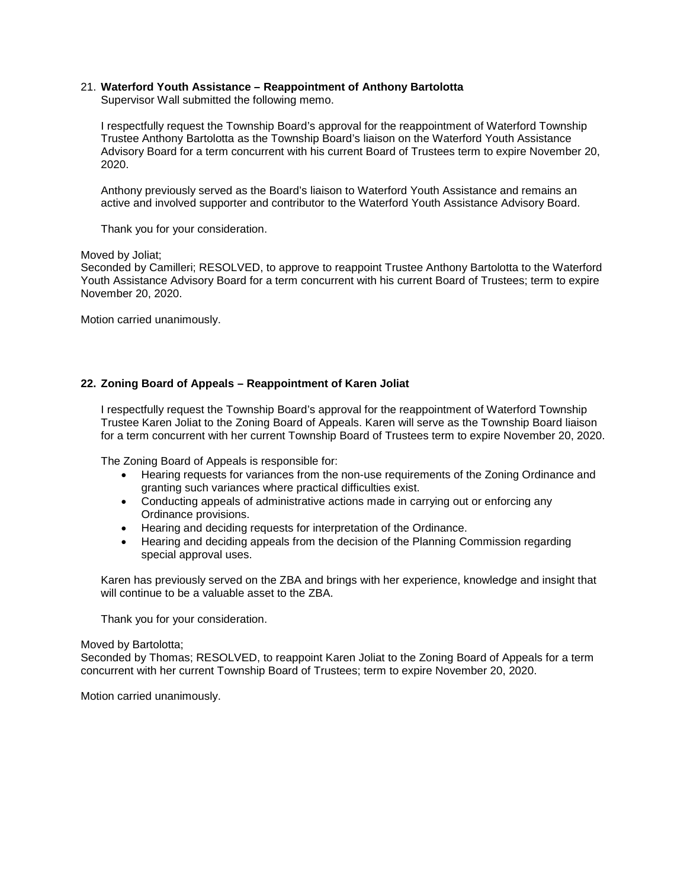# 21. **Waterford Youth Assistance – Reappointment of Anthony Bartolotta**

Supervisor Wall submitted the following memo.

I respectfully request the Township Board's approval for the reappointment of Waterford Township Trustee Anthony Bartolotta as the Township Board's liaison on the Waterford Youth Assistance Advisory Board for a term concurrent with his current Board of Trustees term to expire November 20, 2020.

Anthony previously served as the Board's liaison to Waterford Youth Assistance and remains an active and involved supporter and contributor to the Waterford Youth Assistance Advisory Board.

Thank you for your consideration.

#### Moved by Joliat;

Seconded by Camilleri; RESOLVED, to approve to reappoint Trustee Anthony Bartolotta to the Waterford Youth Assistance Advisory Board for a term concurrent with his current Board of Trustees; term to expire November 20, 2020.

Motion carried unanimously.

# **22. Zoning Board of Appeals – Reappointment of Karen Joliat**

I respectfully request the Township Board's approval for the reappointment of Waterford Township Trustee Karen Joliat to the Zoning Board of Appeals. Karen will serve as the Township Board liaison for a term concurrent with her current Township Board of Trustees term to expire November 20, 2020.

The Zoning Board of Appeals is responsible for:

- Hearing requests for variances from the non-use requirements of the Zoning Ordinance and granting such variances where practical difficulties exist.
- Conducting appeals of administrative actions made in carrying out or enforcing any Ordinance provisions.
- Hearing and deciding requests for interpretation of the Ordinance.
- Hearing and deciding appeals from the decision of the Planning Commission regarding special approval uses.

Karen has previously served on the ZBA and brings with her experience, knowledge and insight that will continue to be a valuable asset to the ZBA.

Thank you for your consideration.

#### Moved by Bartolotta;

Seconded by Thomas; RESOLVED, to reappoint Karen Joliat to the Zoning Board of Appeals for a term concurrent with her current Township Board of Trustees; term to expire November 20, 2020.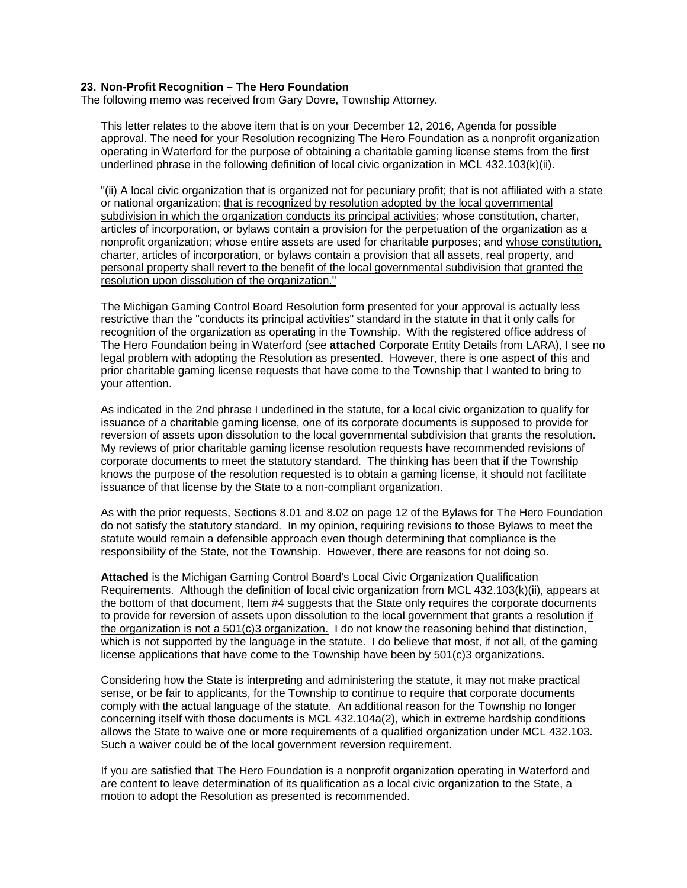#### **23. Non-Profit Recognition – The Hero Foundation**

The following memo was received from Gary Dovre, Township Attorney.

This letter relates to the above item that is on your December 12, 2016, Agenda for possible approval. The need for your Resolution recognizing The Hero Foundation as a nonprofit organization operating in Waterford for the purpose of obtaining a charitable gaming license stems from the first underlined phrase in the following definition of local civic organization in MCL 432.103(k)(ii).

"(ii) A local civic organization that is organized not for pecuniary profit; that is not affiliated with a state or national organization; that is recognized by resolution adopted by the local governmental subdivision in which the organization conducts its principal activities; whose constitution, charter, articles of incorporation, or bylaws contain a provision for the perpetuation of the organization as a nonprofit organization; whose entire assets are used for charitable purposes; and whose constitution, charter, articles of incorporation, or bylaws contain a provision that all assets, real property, and personal property shall revert to the benefit of the local governmental subdivision that granted the resolution upon dissolution of the organization."

The Michigan Gaming Control Board Resolution form presented for your approval is actually less restrictive than the "conducts its principal activities" standard in the statute in that it only calls for recognition of the organization as operating in the Township. With the registered office address of The Hero Foundation being in Waterford (see **attached** Corporate Entity Details from LARA), I see no legal problem with adopting the Resolution as presented. However, there is one aspect of this and prior charitable gaming license requests that have come to the Township that I wanted to bring to your attention.

As indicated in the 2nd phrase I underlined in the statute, for a local civic organization to qualify for issuance of a charitable gaming license, one of its corporate documents is supposed to provide for reversion of assets upon dissolution to the local governmental subdivision that grants the resolution. My reviews of prior charitable gaming license resolution requests have recommended revisions of corporate documents to meet the statutory standard. The thinking has been that if the Township knows the purpose of the resolution requested is to obtain a gaming license, it should not facilitate issuance of that license by the State to a non-compliant organization.

As with the prior requests, Sections 8.01 and 8.02 on page 12 of the Bylaws for The Hero Foundation do not satisfy the statutory standard. In my opinion, requiring revisions to those Bylaws to meet the statute would remain a defensible approach even though determining that compliance is the responsibility of the State, not the Township. However, there are reasons for not doing so.

**Attached** is the Michigan Gaming Control Board's Local Civic Organization Qualification Requirements. Although the definition of local civic organization from MCL 432.103(k)(ii), appears at the bottom of that document, Item #4 suggests that the State only requires the corporate documents to provide for reversion of assets upon dissolution to the local government that grants a resolution if the organization is not a  $501(c)3$  organization. I do not know the reasoning behind that distinction, which is not supported by the language in the statute. I do believe that most, if not all, of the gaming license applications that have come to the Township have been by 501(c)3 organizations.

Considering how the State is interpreting and administering the statute, it may not make practical sense, or be fair to applicants, for the Township to continue to require that corporate documents comply with the actual language of the statute. An additional reason for the Township no longer concerning itself with those documents is MCL 432.104a(2), which in extreme hardship conditions allows the State to waive one or more requirements of a qualified organization under MCL 432.103. Such a waiver could be of the local government reversion requirement.

If you are satisfied that The Hero Foundation is a nonprofit organization operating in Waterford and are content to leave determination of its qualification as a local civic organization to the State, a motion to adopt the Resolution as presented is recommended.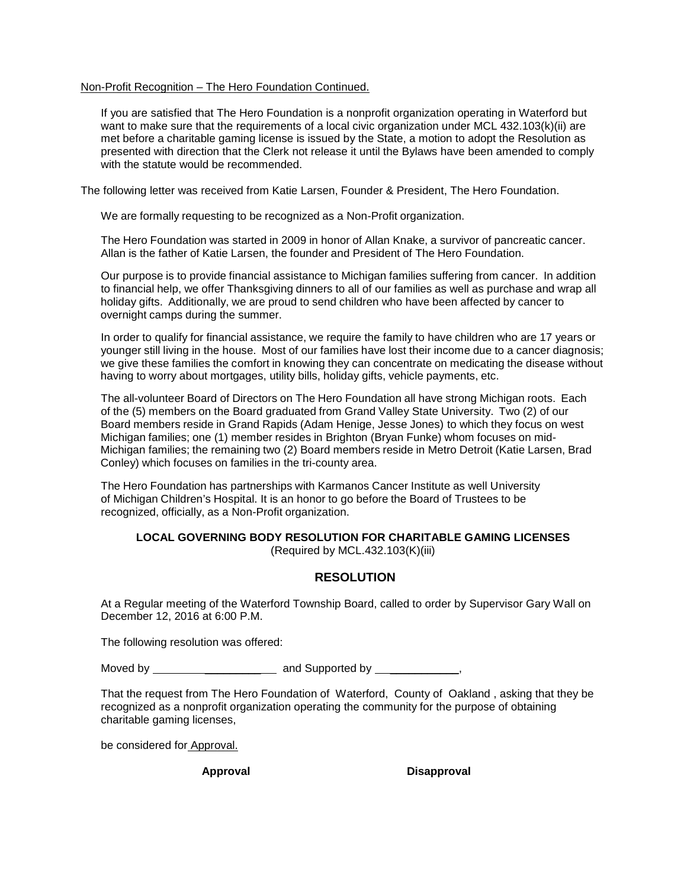## Non-Profit Recognition – The Hero Foundation Continued.

If you are satisfied that The Hero Foundation is a nonprofit organization operating in Waterford but want to make sure that the requirements of a local civic organization under MCL 432.103(k)(ii) are met before a charitable gaming license is issued by the State, a motion to adopt the Resolution as presented with direction that the Clerk not release it until the Bylaws have been amended to comply with the statute would be recommended.

The following letter was received from Katie Larsen, Founder & President, The Hero Foundation.

We are formally requesting to be recognized as a Non-Profit organization.

The Hero Foundation was started in 2009 in honor of Allan Knake, a survivor of pancreatic cancer. Allan is the father of Katie Larsen, the founder and President of The Hero Foundation.

Our purpose is to provide financial assistance to Michigan families suffering from cancer. In addition to financial help, we offer Thanksgiving dinners to all of our families as well as purchase and wrap all holiday gifts. Additionally, we are proud to send children who have been affected by cancer to overnight camps during the summer.

In order to qualify for financial assistance, we require the family to have children who are 17 years or younger still living in the house. Most of our families have lost their income due to a cancer diagnosis; we give these families the comfort in knowing they can concentrate on medicating the disease without having to worry about mortgages, utility bills, holiday gifts, vehicle payments, etc.

The all-volunteer Board of Directors on The Hero Foundation all have strong Michigan roots. Each of the (5) members on the Board graduated from Grand Valley State University. Two (2) of our Board members reside in Grand Rapids (Adam Henige, Jesse Jones) to which they focus on west Michigan families; one (1) member resides in Brighton (Bryan Funke) whom focuses on mid-Michigan families; the remaining two (2) Board members reside in Metro Detroit (Katie Larsen, Brad Conley) which focuses on families in the tri-county area.

The Hero Foundation has partnerships with Karmanos Cancer Institute as well University of Michigan Children's Hospital. It is an honor to go before the Board of Trustees to be recognized, officially, as a Non-Profit organization.

# **LOCAL GOVERNING BODY RESOLUTION FOR CHARITABLE GAMING LICENSES**

(Required by MCL.432.103(K)(iii)

# **RESOLUTION**

At a Regular meeting of the Waterford Township Board, called to order by Supervisor Gary Wall on December 12, 2016 at 6:00 P.M.

The following resolution was offered:

Moved by **Example 20** and Supported by  $\cdot$ ,

That the request from The Hero Foundation of Waterford, County of Oakland , asking that they be recognized as a nonprofit organization operating the community for the purpose of obtaining charitable gaming licenses,

be considered for Approval.

**Approval Disapproval**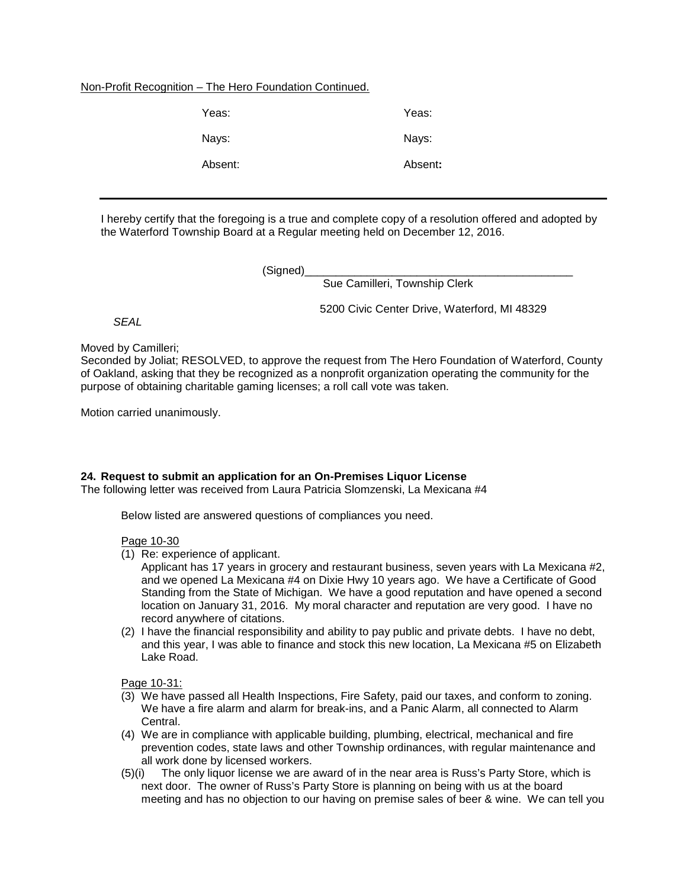# Non-Profit Recognition – The Hero Foundation Continued.

| Yeas:   | Yeas:   |
|---------|---------|
| Nays:   | Nays:   |
| Absent: | Absent: |

I hereby certify that the foregoing is a true and complete copy of a resolution offered and adopted by the Waterford Township Board at a Regular meeting held on December 12, 2016.

(Signed)

Sue Camilleri, Township Clerk

5200 Civic Center Drive, Waterford, MI 48329

*SEAL*

Moved by Camilleri;

Seconded by Joliat; RESOLVED, to approve the request from The Hero Foundation of Waterford, County of Oakland, asking that they be recognized as a nonprofit organization operating the community for the purpose of obtaining charitable gaming licenses; a roll call vote was taken.

Motion carried unanimously.

## **24. Request to submit an application for an On-Premises Liquor License**

The following letter was received from Laura Patricia Slomzenski, La Mexicana #4

Below listed are answered questions of compliances you need.

## Page 10-30

- (1) Re: experience of applicant.
	- Applicant has 17 years in grocery and restaurant business, seven years with La Mexicana #2, and we opened La Mexicana #4 on Dixie Hwy 10 years ago. We have a Certificate of Good Standing from the State of Michigan. We have a good reputation and have opened a second location on January 31, 2016. My moral character and reputation are very good. I have no record anywhere of citations.
- (2) I have the financial responsibility and ability to pay public and private debts. I have no debt, and this year, I was able to finance and stock this new location, La Mexicana #5 on Elizabeth Lake Road.

Page 10-31:

- (3) We have passed all Health Inspections, Fire Safety, paid our taxes, and conform to zoning. We have a fire alarm and alarm for break-ins, and a Panic Alarm, all connected to Alarm Central.
- (4) We are in compliance with applicable building, plumbing, electrical, mechanical and fire prevention codes, state laws and other Township ordinances, with regular maintenance and all work done by licensed workers.
- (5)(i) The only liquor license we are award of in the near area is Russ's Party Store, which is next door. The owner of Russ's Party Store is planning on being with us at the board meeting and has no objection to our having on premise sales of beer & wine. We can tell you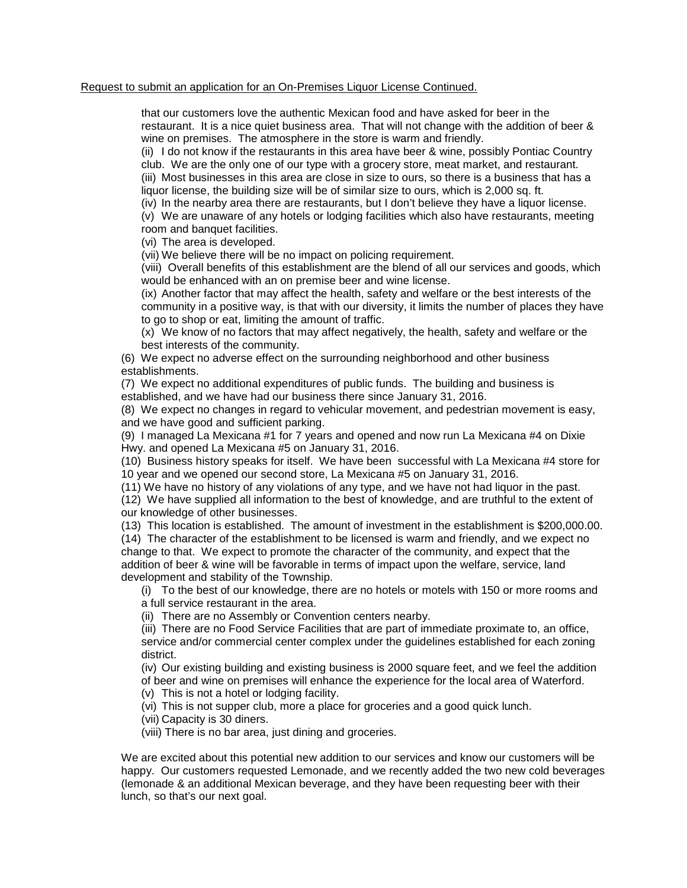## Request to submit an application for an On-Premises Liquor License Continued.

that our customers love the authentic Mexican food and have asked for beer in the restaurant. It is a nice quiet business area. That will not change with the addition of beer & wine on premises. The atmosphere in the store is warm and friendly.

(ii) I do not know if the restaurants in this area have beer & wine, possibly Pontiac Country club. We are the only one of our type with a grocery store, meat market, and restaurant. (iii) Most businesses in this area are close in size to ours, so there is a business that has a

liquor license, the building size will be of similar size to ours, which is 2,000 sq. ft.

(iv) In the nearby area there are restaurants, but I don't believe they have a liquor license.

(v) We are unaware of any hotels or lodging facilities which also have restaurants, meeting room and banquet facilities.

(vi) The area is developed.

(vii) We believe there will be no impact on policing requirement.

(viii) Overall benefits of this establishment are the blend of all our services and goods, which would be enhanced with an on premise beer and wine license.

(ix) Another factor that may affect the health, safety and welfare or the best interests of the community in a positive way, is that with our diversity, it limits the number of places they have to go to shop or eat, limiting the amount of traffic.

(x) We know of no factors that may affect negatively, the health, safety and welfare or the best interests of the community.

(6) We expect no adverse effect on the surrounding neighborhood and other business establishments.

(7) We expect no additional expenditures of public funds. The building and business is established, and we have had our business there since January 31, 2016.

(8) We expect no changes in regard to vehicular movement, and pedestrian movement is easy, and we have good and sufficient parking.

(9) I managed La Mexicana #1 for 7 years and opened and now run La Mexicana #4 on Dixie Hwy. and opened La Mexicana #5 on January 31, 2016.

(10) Business history speaks for itself. We have been successful with La Mexicana #4 store for 10 year and we opened our second store, La Mexicana #5 on January 31, 2016.

(11) We have no history of any violations of any type, and we have not had liquor in the past.

(12) We have supplied all information to the best of knowledge, and are truthful to the extent of our knowledge of other businesses.

(13) This location is established. The amount of investment in the establishment is \$200,000.00. (14) The character of the establishment to be licensed is warm and friendly, and we expect no change to that. We expect to promote the character of the community, and expect that the addition of beer & wine will be favorable in terms of impact upon the welfare, service, land development and stability of the Township.

(i) To the best of our knowledge, there are no hotels or motels with 150 or more rooms and a full service restaurant in the area.

(ii) There are no Assembly or Convention centers nearby.

(iii) There are no Food Service Facilities that are part of immediate proximate to, an office, service and/or commercial center complex under the guidelines established for each zoning district.

(iv) Our existing building and existing business is 2000 square feet, and we feel the addition of beer and wine on premises will enhance the experience for the local area of Waterford.

(v) This is not a hotel or lodging facility.

(vi) This is not supper club, more a place for groceries and a good quick lunch.

(vii) Capacity is 30 diners.

(viii) There is no bar area, just dining and groceries.

We are excited about this potential new addition to our services and know our customers will be happy. Our customers requested Lemonade, and we recently added the two new cold beverages (lemonade & an additional Mexican beverage, and they have been requesting beer with their lunch, so that's our next goal.